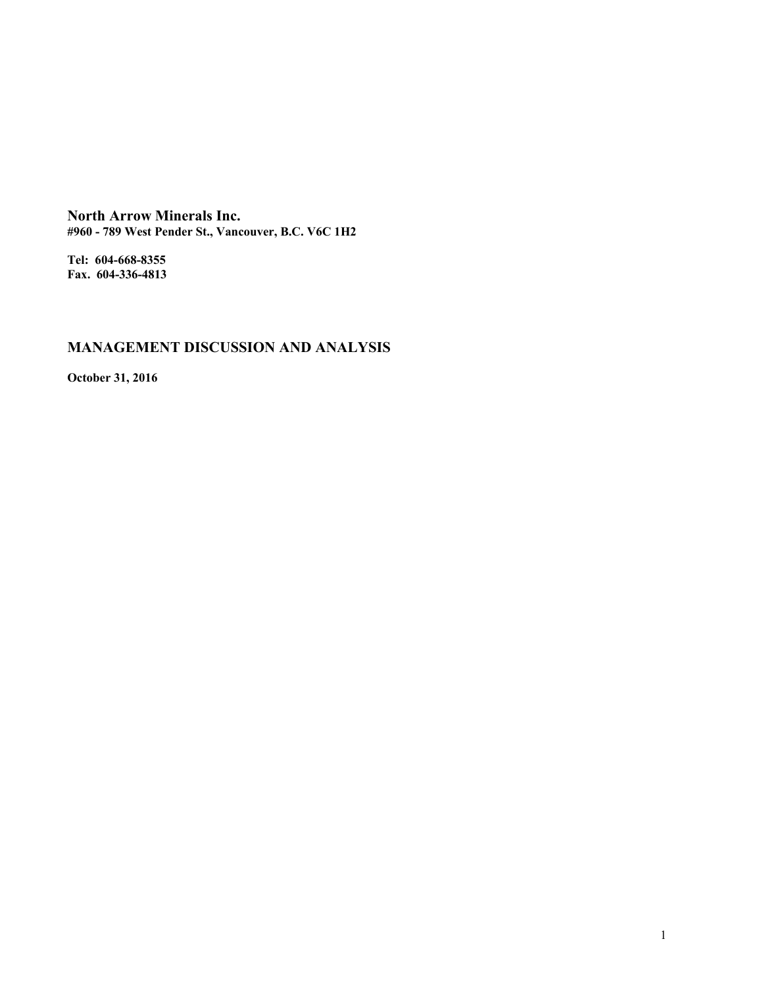**North Arrow Minerals Inc. #960 - 789 West Pender St., Vancouver, B.C. V6C 1H2**

**Tel: 604-668-8355 Fax. 604-336-4813**

# **MANAGEMENT DISCUSSION AND ANALYSIS**

**October 31, 2016**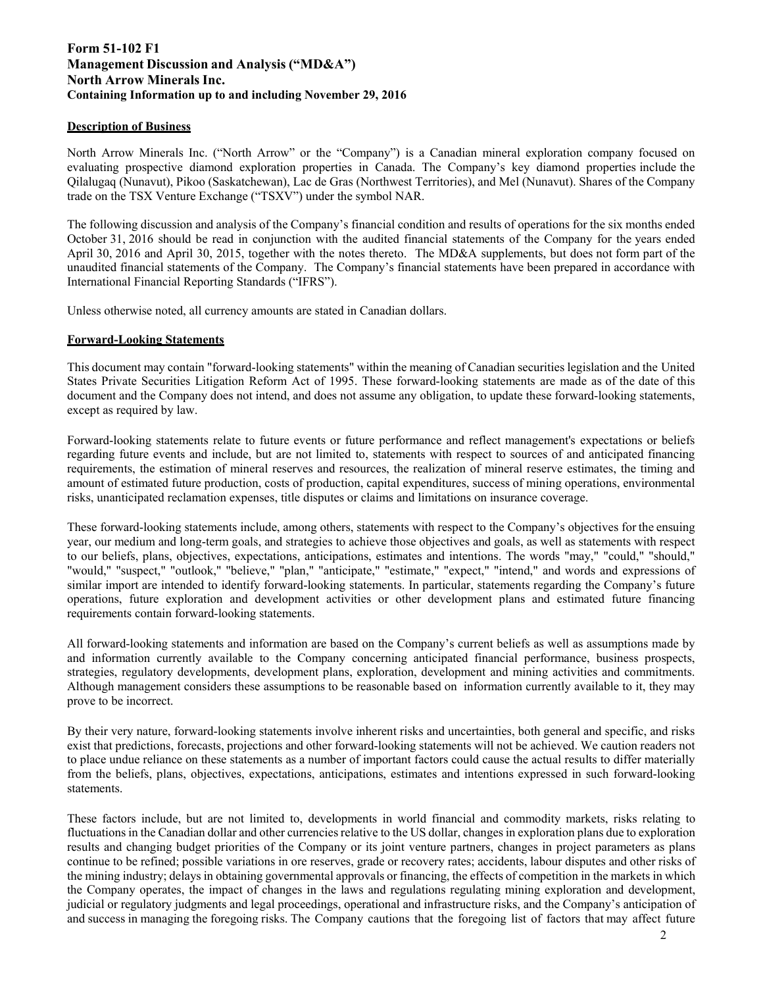# **Form 51-102 F1 Management Discussion and Analysis ("MD&A") North Arrow Minerals Inc. Containing Information up to and including November 29, 2016**

## **Description of Business**

North Arrow Minerals Inc. ("North Arrow" or the "Company") is a Canadian mineral exploration company focused on evaluating prospective diamond exploration properties in Canada. The Company's key diamond properties include the Qilalugaq (Nunavut), Pikoo (Saskatchewan), Lac de Gras (Northwest Territories), and Mel (Nunavut). Shares of the Company trade on the TSX Venture Exchange ("TSXV") under the symbol NAR.

The following discussion and analysis of the Company's financial condition and results of operations for the six months ended October 31, 2016 should be read in conjunction with the audited financial statements of the Company for the years ended April 30, 2016 and April 30, 2015, together with the notes thereto. The MD&A supplements, but does not form part of the unaudited financial statements of the Company. The Company's financial statements have been prepared in accordance with International Financial Reporting Standards ("IFRS").

Unless otherwise noted, all currency amounts are stated in Canadian dollars.

## **Forward-Looking Statements**

This document may contain "forward-looking statements" within the meaning of Canadian securities legislation and the United States Private Securities Litigation Reform Act of 1995. These forward-looking statements are made as of the date of this document and the Company does not intend, and does not assume any obligation, to update these forward-looking statements, except as required by law.

Forward-looking statements relate to future events or future performance and reflect management's expectations or beliefs regarding future events and include, but are not limited to, statements with respect to sources of and anticipated financing requirements, the estimation of mineral reserves and resources, the realization of mineral reserve estimates, the timing and amount of estimated future production, costs of production, capital expenditures, success of mining operations, environmental risks, unanticipated reclamation expenses, title disputes or claims and limitations on insurance coverage.

These forward-looking statements include, among others, statements with respect to the Company's objectives for the ensuing year, our medium and long-term goals, and strategies to achieve those objectives and goals, as well as statements with respect to our beliefs, plans, objectives, expectations, anticipations, estimates and intentions. The words "may," "could," "should," "would," "suspect," "outlook," "believe," "plan," "anticipate," "estimate," "expect," "intend," and words and expressions of similar import are intended to identify forward-looking statements. In particular, statements regarding the Company's future operations, future exploration and development activities or other development plans and estimated future financing requirements contain forward-looking statements.

All forward-looking statements and information are based on the Company's current beliefs as well as assumptions made by and information currently available to the Company concerning anticipated financial performance, business prospects, strategies, regulatory developments, development plans, exploration, development and mining activities and commitments. Although management considers these assumptions to be reasonable based on information currently available to it, they may prove to be incorrect.

By their very nature, forward-looking statements involve inherent risks and uncertainties, both general and specific, and risks exist that predictions, forecasts, projections and other forward-looking statements will not be achieved. We caution readers not to place undue reliance on these statements as a number of important factors could cause the actual results to differ materially from the beliefs, plans, objectives, expectations, anticipations, estimates and intentions expressed in such forward-looking statements.

These factors include, but are not limited to, developments in world financial and commodity markets, risks relating to fluctuations in the Canadian dollar and other currencies relative to the US dollar, changes in exploration plans due to exploration results and changing budget priorities of the Company or its joint venture partners, changes in project parameters as plans continue to be refined; possible variations in ore reserves, grade or recovery rates; accidents, labour disputes and other risks of the mining industry; delays in obtaining governmental approvals or financing, the effects of competition in the markets in which the Company operates, the impact of changes in the laws and regulations regulating mining exploration and development, judicial or regulatory judgments and legal proceedings, operational and infrastructure risks, and the Company's anticipation of and success in managing the foregoing risks. The Company cautions that the foregoing list of factors that may affect future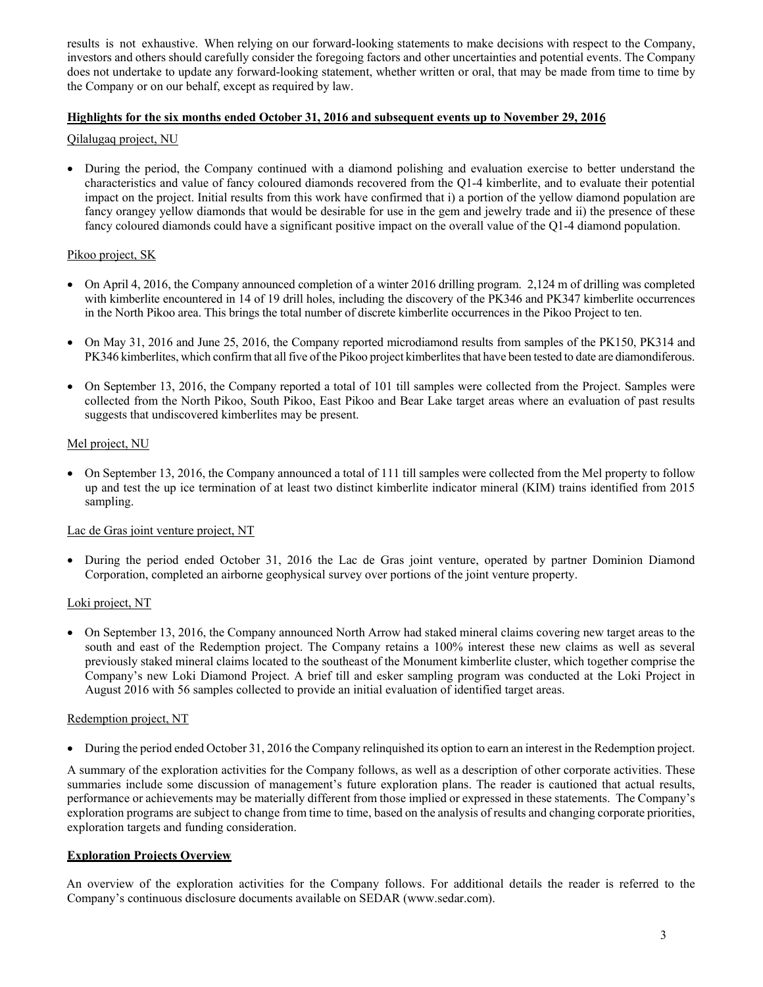results is not exhaustive. When relying on our forward-looking statements to make decisions with respect to the Company, investors and others should carefully consider the foregoing factors and other uncertainties and potential events. The Company does not undertake to update any forward-looking statement, whether written or oral, that may be made from time to time by the Company or on our behalf, except as required by law.

## **Highlights for the six months ended October 31, 2016 and subsequent events up to November 29, 201**

## Qilalugaq project, NU

 During the period, the Company continued with a diamond polishing and evaluation exercise to better understand the characteristics and value of fancy coloured diamonds recovered from the Q1-4 kimberlite, and to evaluate their potential impact on the project. Initial results from this work have confirmed that i) a portion of the yellow diamond population are fancy orangey yellow diamonds that would be desirable for use in the gem and jewelry trade and ii) the presence of these fancy coloured diamonds could have a significant positive impact on the overall value of the Q1-4 diamond population.

# Pikoo project, SK

- On April 4, 2016, the Company announced completion of a winter 2016 drilling program. 2,124 m of drilling was completed with kimberlite encountered in 14 of 19 drill holes, including the discovery of the PK346 and PK347 kimberlite occurrences in the North Pikoo area. This brings the total number of discrete kimberlite occurrences in the Pikoo Project to ten.
- On May 31, 2016 and June 25, 2016, the Company reported microdiamond results from samples of the PK150, PK314 and PK346 kimberlites, which confirm that all five of the Pikoo project kimberlites that have been tested to date are diamondiferous.
- On September 13, 2016, the Company reported a total of 101 till samples were collected from the Project. Samples were collected from the North Pikoo, South Pikoo, East Pikoo and Bear Lake target areas where an evaluation of past results suggests that undiscovered kimberlites may be present.

## Mel project, NU

• On September 13, 2016, the Company announced a total of 111 till samples were collected from the Mel property to follow up and test the up ice termination of at least two distinct kimberlite indicator mineral (KIM) trains identified from 2015 sampling.

## Lac de Gras joint venture project, NT

 During the period ended October 31, 2016 the Lac de Gras joint venture, operated by partner Dominion Diamond Corporation, completed an airborne geophysical survey over portions of the joint venture property.

# Loki project, NT

 On September 13, 2016, the Company announced North Arrow had staked mineral claims covering new target areas to the south and east of the Redemption project. The Company retains a 100% interest these new claims as well as several previously staked mineral claims located to the southeast of the Monument kimberlite cluster, which together comprise the Company's new Loki Diamond Project. A brief till and esker sampling program was conducted at the Loki Project in August 2016 with 56 samples collected to provide an initial evaluation of identified target areas.

## Redemption project, NT

During the period ended October 31, 2016 the Company relinquished its option to earn an interest in the Redemption project.

A summary of the exploration activities for the Company follows, as well as a description of other corporate activities. These summaries include some discussion of management's future exploration plans. The reader is cautioned that actual results, performance or achievements may be materially different from those implied or expressed in these statements. The Company's exploration programs are subject to change from time to time, based on the analysis of results and changing corporate priorities, exploration targets and funding consideration.

## **Exploration Projects Overview**

An overview of the exploration activities for the Company follows. For additional details the reader is referred to the Company's continuous disclosure documents available on SEDAR (www.sedar.com).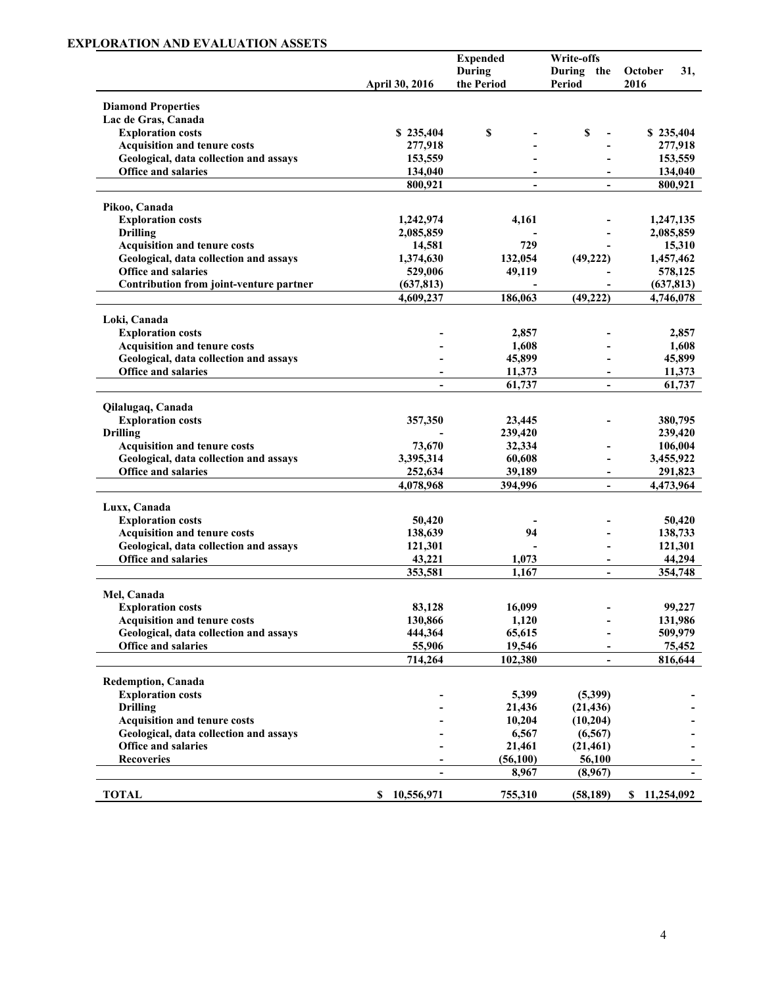# **EXPLORATION AND EVALUATION ASSETS**

|                                         |                          | <b>Expended</b>             | Write-offs                  |                        |
|-----------------------------------------|--------------------------|-----------------------------|-----------------------------|------------------------|
|                                         | April 30, 2016           | <b>During</b><br>the Period | During the<br><b>Period</b> | October<br>31,<br>2016 |
| <b>Diamond Properties</b>               |                          |                             |                             |                        |
| Lac de Gras, Canada                     |                          |                             |                             |                        |
| <b>Exploration costs</b>                | \$235,404                | \$                          | \$                          | \$235,404              |
| <b>Acquisition and tenure costs</b>     | 277,918                  |                             |                             | 277,918                |
| Geological, data collection and assays  | 153,559                  |                             |                             | 153,559                |
| Office and salaries                     | 134,040                  |                             |                             | 134,040                |
|                                         | 800,921                  | $\blacksquare$              | $\blacksquare$              | 800,921                |
| Pikoo, Canada                           |                          |                             |                             |                        |
| <b>Exploration costs</b>                | 1,242,974                | 4,161                       |                             | 1,247,135              |
| <b>Drilling</b>                         | 2,085,859                |                             |                             | 2,085,859              |
| <b>Acquisition and tenure costs</b>     | 14,581                   | 729                         |                             | 15,310                 |
| Geological, data collection and assays  | 1,374,630                | 132,054                     | (49, 222)                   | 1,457,462              |
| <b>Office and salaries</b>              | 529,006                  | 49,119                      |                             | 578,125                |
| Contribution from joint-venture partner | (637, 813)               |                             |                             | (637, 813)             |
|                                         | 4,609,237                | 186,063                     | (49, 222)                   | 4,746,078              |
| Loki, Canada                            |                          |                             |                             |                        |
| <b>Exploration costs</b>                |                          | 2,857                       |                             | 2,857                  |
| <b>Acquisition and tenure costs</b>     |                          | 1,608                       |                             | 1,608                  |
| Geological, data collection and assays  |                          | 45,899                      |                             | 45,899                 |
| <b>Office and salaries</b>              | $\overline{\phantom{0}}$ | 11,373                      | $\overline{\phantom{a}}$    | 11,373                 |
|                                         |                          | 61,737                      | $\overline{\phantom{0}}$    | 61,737                 |
| Qilalugaq, Canada                       |                          |                             |                             |                        |
| <b>Exploration costs</b>                | 357,350                  | 23,445                      |                             | 380,795                |
| <b>Drilling</b>                         |                          | 239,420                     |                             | 239,420                |
| <b>Acquisition and tenure costs</b>     | 73,670                   | 32,334                      |                             | 106,004                |
| Geological, data collection and assays  | 3,395,314                | 60,608                      |                             | 3,455,922              |
| <b>Office and salaries</b>              | 252,634                  | 39,189                      |                             | 291,823                |
|                                         | 4,078,968                | 394,996                     | $\blacksquare$              | 4,473,964              |
| Luxx, Canada                            |                          |                             |                             |                        |
| <b>Exploration costs</b>                | 50,420                   |                             |                             | 50,420                 |
| <b>Acquisition and tenure costs</b>     | 138,639                  | 94                          |                             | 138,733                |
| Geological, data collection and assays  | 121,301                  |                             |                             | 121,301                |
| <b>Office and salaries</b>              | 43,221                   | 1,073                       | -                           | 44,294                 |
|                                         | 353,581                  | 1,167                       | $\blacksquare$              | 354,748                |
| Mel, Canada                             |                          |                             |                             |                        |
| <b>Exploration costs</b>                | 83,128                   | 16,099                      |                             | 99,227                 |
| <b>Acquisition and tenure costs</b>     | 130,866                  | 1,120                       |                             | 131,986                |
| Geological, data collection and assays  | 444,364                  | 65,615                      |                             | 509,979                |
| Office and salaries                     | 55,906                   | 19,546                      |                             | 75,452                 |
|                                         | 714,264                  | 102,380                     |                             | 816,644                |
| Redemption, Canada                      |                          |                             |                             |                        |
| <b>Exploration costs</b>                |                          | 5,399                       | (5,399)                     |                        |
| <b>Drilling</b>                         |                          | 21,436                      | (21, 436)                   |                        |
| Acquisition and tenure costs            |                          | 10,204                      | (10, 204)                   |                        |
| Geological, data collection and assays  |                          | 6,567                       | (6, 567)                    |                        |
| <b>Office and salaries</b>              |                          | 21,461                      | (21, 461)                   |                        |
| <b>Recoveries</b>                       |                          | (56,100)                    | 56,100                      |                        |
|                                         | $\overline{\phantom{a}}$ | 8,967                       | (8,967)                     |                        |
| <b>TOTAL</b>                            | S<br>10,556,971          | 755,310                     | (58, 189)                   | \$11,254,092           |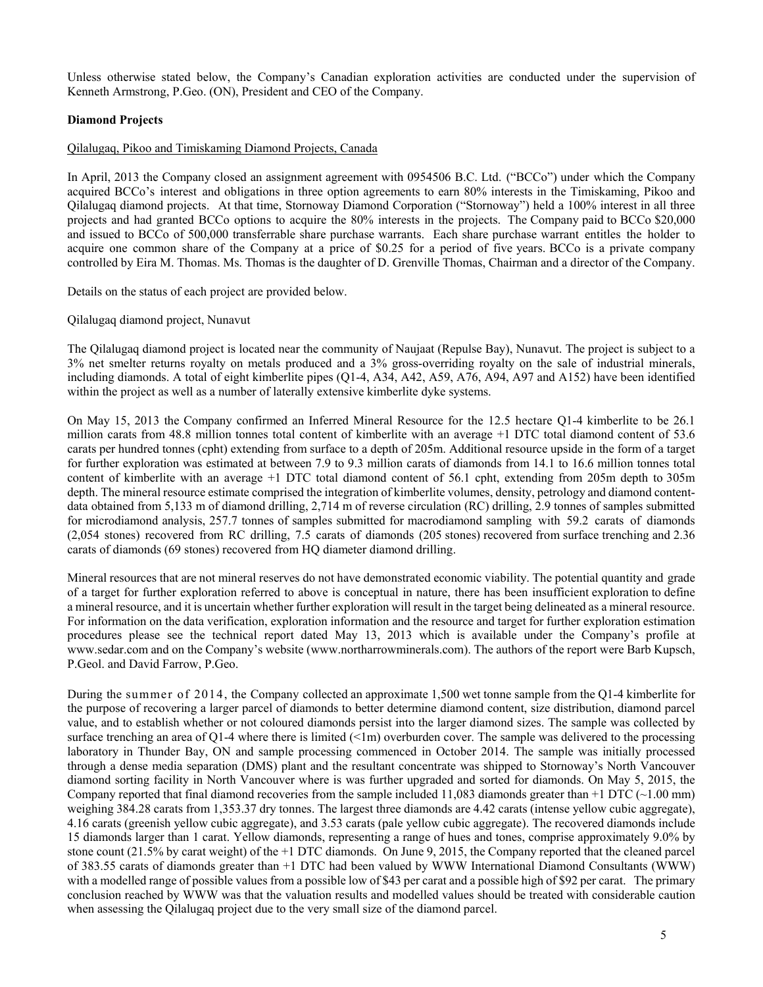Unless otherwise stated below, the Company's Canadian exploration activities are conducted under the supervision of Kenneth Armstrong, P.Geo. (ON), President and CEO of the Company.

## **Diamond Projects**

#### Qilalugaq, Pikoo and Timiskaming Diamond Projects, Canada

In April, 2013 the Company closed an assignment agreement with 0954506 B.C. Ltd. ("BCCo") under which the Company acquired BCCo's interest and obligations in three option agreements to earn 80% interests in the Timiskaming, Pikoo and Qilalugaq diamond projects. At that time, Stornoway Diamond Corporation ("Stornoway") held a 100% interest in all three projects and had granted BCCo options to acquire the 80% interests in the projects. The Company paid to BCCo \$20,000 and issued to BCCo of 500,000 transferrable share purchase warrants. Each share purchase warrant entitles the holder to acquire one common share of the Company at a price of \$0.25 for a period of five years. BCCo is a private company controlled by Eira M. Thomas. Ms. Thomas is the daughter of D. Grenville Thomas, Chairman and a director of the Company.

Details on the status of each project are provided below.

Qilalugaq diamond project, Nunavut

The Qilalugaq diamond project is located near the community of Naujaat (Repulse Bay), Nunavut. The project is subject to a 3% net smelter returns royalty on metals produced and a 3% gross-overriding royalty on the sale of industrial minerals, including diamonds. A total of eight kimberlite pipes (Q1-4, A34, A42, A59, A76, A94, A97 and A152) have been identified within the project as well as a number of laterally extensive kimberlite dyke systems.

On May 15, 2013 the Company confirmed an Inferred Mineral Resource for the 12.5 hectare Q1-4 kimberlite to be 26.1 million carats from 48.8 million tonnes total content of kimberlite with an average +1 DTC total diamond content of 53.6 carats per hundred tonnes (cpht) extending from surface to a depth of 205m. Additional resource upside in the form of a target for further exploration was estimated at between 7.9 to 9.3 million carats of diamonds from 14.1 to 16.6 million tonnes total content of kimberlite with an average +1 DTC total diamond content of 56.1 cpht, extending from 205m depth to 305m depth. The mineral resource estimate comprised the integration of kimberlite volumes, density, petrology and diamond contentdata obtained from 5,133 m of diamond drilling, 2,714 m of reverse circulation (RC) drilling, 2.9 tonnes of samples submitted for microdiamond analysis, 257.7 tonnes of samples submitted for macrodiamond sampling with 59.2 carats of diamonds (2,054 stones) recovered from RC drilling, 7.5 carats of diamonds (205 stones) recovered from surface trenching and 2.36 carats of diamonds (69 stones) recovered from HQ diameter diamond drilling.

Mineral resources that are not mineral reserves do not have demonstrated economic viability. The potential quantity and grade of a target for further exploration referred to above is conceptual in nature, there has been insufficient exploration to define a mineral resource, and it is uncertain whether further exploration will result in the target being delineated as a mineral resource. For information on the data verification, exploration information and the resource and target for further exploration estimation procedures please see the technical report dated May 13, 2013 which is available under the Company's profile at www.sedar.com and on the Company's website (www.northarrowminerals.com). The authors of the report were Barb Kupsch, P.Geol. and David Farrow, P.Geo.

During the summer of 2014, the Company collected an approximate 1,500 wet tonne sample from the Q1-4 kimberlite for the purpose of recovering a larger parcel of diamonds to better determine diamond content, size distribution, diamond parcel value, and to establish whether or not coloured diamonds persist into the larger diamond sizes. The sample was collected by surface trenching an area of Q1-4 where there is limited  $($ Im) overburden cover. The sample was delivered to the processing laboratory in Thunder Bay, ON and sample processing commenced in October 2014. The sample was initially processed through a dense media separation (DMS) plant and the resultant concentrate was shipped to Stornoway's North Vancouver diamond sorting facility in North Vancouver where is was further upgraded and sorted for diamonds. On May 5, 2015, the Company reported that final diamond recoveries from the sample included 11,083 diamonds greater than  $+1$  DTC ( $\sim$ 1.00 mm) weighing 384.28 carats from 1,353.37 dry tonnes. The largest three diamonds are 4.42 carats (intense yellow cubic aggregate), 4.16 carats (greenish yellow cubic aggregate), and 3.53 carats (pale yellow cubic aggregate). The recovered diamonds include 15 diamonds larger than 1 carat. Yellow diamonds, representing a range of hues and tones, comprise approximately 9.0% by stone count (21.5% by carat weight) of the +1 DTC diamonds. On June 9, 2015, the Company reported that the cleaned parcel of 383.55 carats of diamonds greater than +1 DTC had been valued by WWW International Diamond Consultants (WWW) with a modelled range of possible values from a possible low of \$43 per carat and a possible high of \$92 per carat. The primary conclusion reached by WWW was that the valuation results and modelled values should be treated with considerable caution when assessing the Qilalugaq project due to the very small size of the diamond parcel.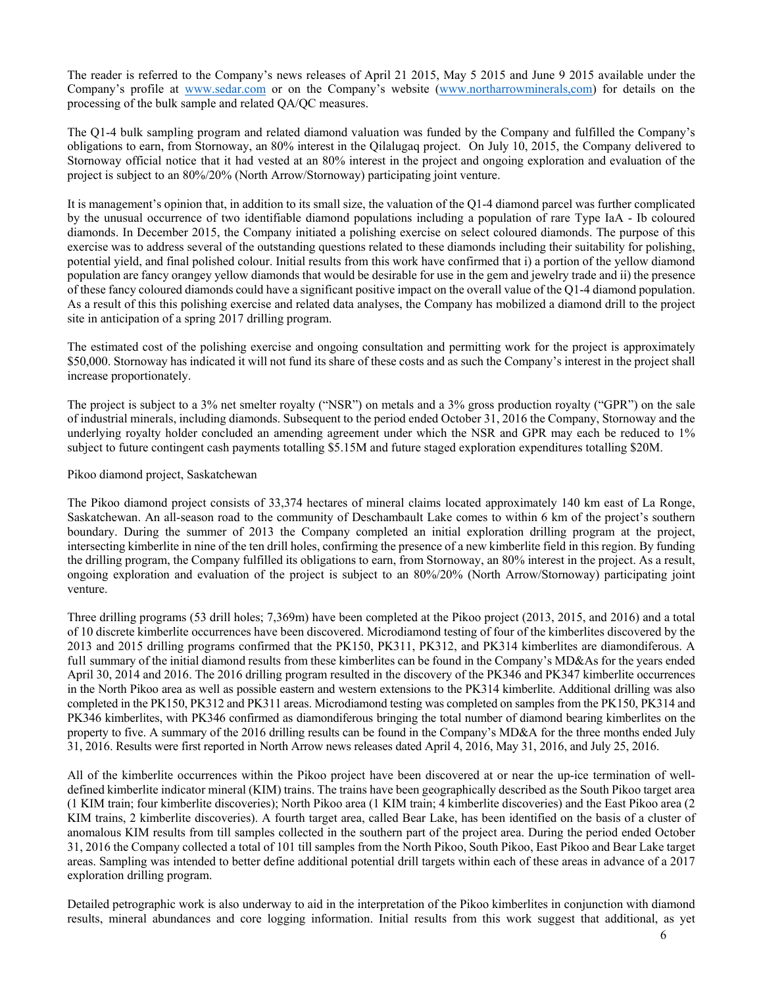The reader is referred to the Company's news releases of April 21 2015, May 5 2015 and June 9 2015 available under the Company's profile at www.sedar.com or on the Company's website (www.northarrowminerals,com) for details on the processing of the bulk sample and related QA/QC measures.

The Q1-4 bulk sampling program and related diamond valuation was funded by the Company and fulfilled the Company's obligations to earn, from Stornoway, an 80% interest in the Qilalugaq project. On July 10, 2015, the Company delivered to Stornoway official notice that it had vested at an 80% interest in the project and ongoing exploration and evaluation of the project is subject to an 80%/20% (North Arrow/Stornoway) participating joint venture.

It is management's opinion that, in addition to its small size, the valuation of the Q1-4 diamond parcel was further complicated by the unusual occurrence of two identifiable diamond populations including a population of rare Type IaA - Ib coloured diamonds. In December 2015, the Company initiated a polishing exercise on select coloured diamonds. The purpose of this exercise was to address several of the outstanding questions related to these diamonds including their suitability for polishing, potential yield, and final polished colour. Initial results from this work have confirmed that i) a portion of the yellow diamond population are fancy orangey yellow diamonds that would be desirable for use in the gem and jewelry trade and ii) the presence of these fancy coloured diamonds could have a significant positive impact on the overall value of the Q1-4 diamond population. As a result of this this polishing exercise and related data analyses, the Company has mobilized a diamond drill to the project site in anticipation of a spring 2017 drilling program.

The estimated cost of the polishing exercise and ongoing consultation and permitting work for the project is approximately \$50,000. Stornoway has indicated it will not fund its share of these costs and as such the Company's interest in the project shall increase proportionately.

The project is subject to a 3% net smelter royalty ("NSR") on metals and a 3% gross production royalty ("GPR") on the sale of industrial minerals, including diamonds. Subsequent to the period ended October 31, 2016 the Company, Stornoway and the underlying royalty holder concluded an amending agreement under which the NSR and GPR may each be reduced to 1% subject to future contingent cash payments totalling \$5.15M and future staged exploration expenditures totalling \$20M.

#### Pikoo diamond project, Saskatchewan

The Pikoo diamond project consists of 33,374 hectares of mineral claims located approximately 140 km east of La Ronge, Saskatchewan. An all-season road to the community of Deschambault Lake comes to within 6 km of the project's southern boundary. During the summer of 2013 the Company completed an initial exploration drilling program at the project, intersecting kimberlite in nine of the ten drill holes, confirming the presence of a new kimberlite field in this region. By funding the drilling program, the Company fulfilled its obligations to earn, from Stornoway, an 80% interest in the project. As a result, ongoing exploration and evaluation of the project is subject to an 80%/20% (North Arrow/Stornoway) participating joint venture.

Three drilling programs (53 drill holes; 7,369m) have been completed at the Pikoo project (2013, 2015, and 2016) and a total of 10 discrete kimberlite occurrences have been discovered. Microdiamond testing of four of the kimberlites discovered by the 2013 and 2015 drilling programs confirmed that the PK150, PK311, PK312, and PK314 kimberlites are diamondiferous. A full summary of the initial diamond results from these kimberlites can be found in the Company's MD&As for the years ended April 30, 2014 and 2016. The 2016 drilling program resulted in the discovery of the PK346 and PK347 kimberlite occurrences in the North Pikoo area as well as possible eastern and western extensions to the PK314 kimberlite. Additional drilling was also completed in the PK150, PK312 and PK311 areas. Microdiamond testing was completed on samples from the PK150, PK314 and PK346 kimberlites, with PK346 confirmed as diamondiferous bringing the total number of diamond bearing kimberlites on the property to five. A summary of the 2016 drilling results can be found in the Company's MD&A for the three months ended July 31, 2016. Results were first reported in North Arrow news releases dated April 4, 2016, May 31, 2016, and July 25, 2016.

All of the kimberlite occurrences within the Pikoo project have been discovered at or near the up-ice termination of welldefined kimberlite indicator mineral (KIM) trains. The trains have been geographically described as the South Pikoo target area (1 KIM train; four kimberlite discoveries); North Pikoo area (1 KIM train; 4 kimberlite discoveries) and the East Pikoo area (2 KIM trains, 2 kimberlite discoveries). A fourth target area, called Bear Lake, has been identified on the basis of a cluster of anomalous KIM results from till samples collected in the southern part of the project area. During the period ended October 31, 2016 the Company collected a total of 101 till samples from the North Pikoo, South Pikoo, East Pikoo and Bear Lake target areas. Sampling was intended to better define additional potential drill targets within each of these areas in advance of a 2017 exploration drilling program.

Detailed petrographic work is also underway to aid in the interpretation of the Pikoo kimberlites in conjunction with diamond results, mineral abundances and core logging information. Initial results from this work suggest that additional, as yet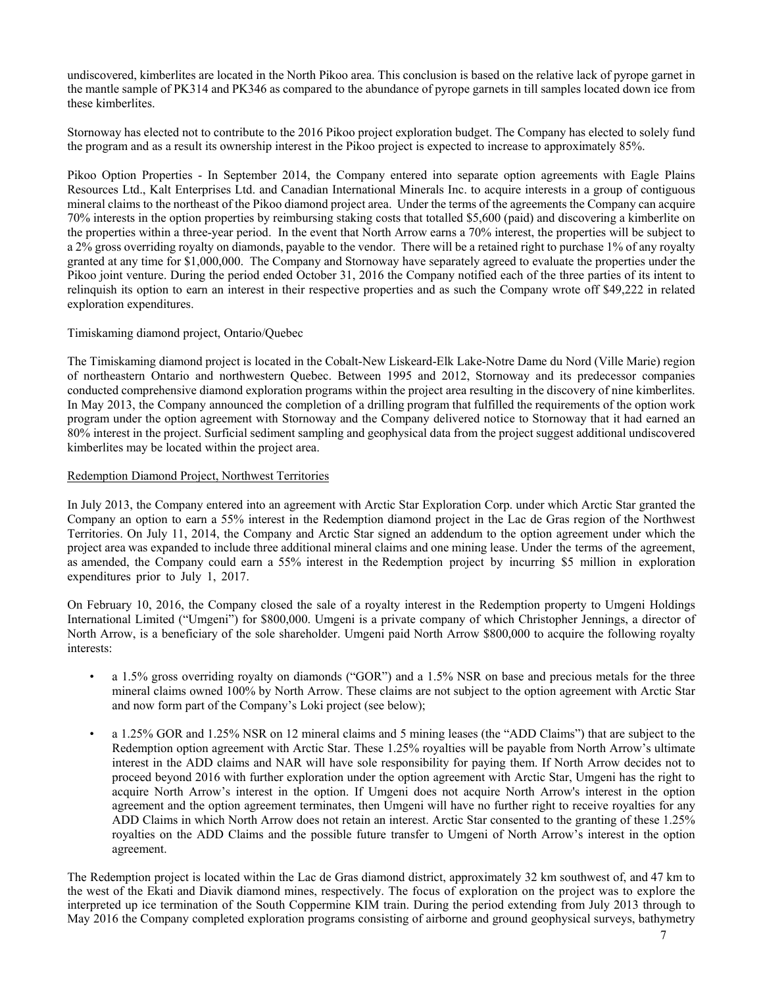undiscovered, kimberlites are located in the North Pikoo area. This conclusion is based on the relative lack of pyrope garnet in the mantle sample of PK314 and PK346 as compared to the abundance of pyrope garnets in till samples located down ice from these kimberlites.

Stornoway has elected not to contribute to the 2016 Pikoo project exploration budget. The Company has elected to solely fund the program and as a result its ownership interest in the Pikoo project is expected to increase to approximately 85%.

Pikoo Option Properties - In September 2014, the Company entered into separate option agreements with Eagle Plains Resources Ltd., Kalt Enterprises Ltd. and Canadian International Minerals Inc. to acquire interests in a group of contiguous mineral claims to the northeast of the Pikoo diamond project area. Under the terms of the agreements the Company can acquire 70% interests in the option properties by reimbursing staking costs that totalled \$5,600 (paid) and discovering a kimberlite on the properties within a three-year period. In the event that North Arrow earns a 70% interest, the properties will be subject to a 2% gross overriding royalty on diamonds, payable to the vendor. There will be a retained right to purchase 1% of any royalty granted at any time for \$1,000,000. The Company and Stornoway have separately agreed to evaluate the properties under the Pikoo joint venture. During the period ended October 31, 2016 the Company notified each of the three parties of its intent to relinquish its option to earn an interest in their respective properties and as such the Company wrote off \$49,222 in related exploration expenditures.

#### Timiskaming diamond project, Ontario/Quebec

The Timiskaming diamond project is located in the Cobalt-New Liskeard-Elk Lake-Notre Dame du Nord (Ville Marie) region of northeastern Ontario and northwestern Quebec. Between 1995 and 2012, Stornoway and its predecessor companies conducted comprehensive diamond exploration programs within the project area resulting in the discovery of nine kimberlites. In May 2013, the Company announced the completion of a drilling program that fulfilled the requirements of the option work program under the option agreement with Stornoway and the Company delivered notice to Stornoway that it had earned an 80% interest in the project. Surficial sediment sampling and geophysical data from the project suggest additional undiscovered kimberlites may be located within the project area.

#### Redemption Diamond Project, Northwest Territories

In July 2013, the Company entered into an agreement with Arctic Star Exploration Corp. under which Arctic Star granted the Company an option to earn a 55% interest in the Redemption diamond project in the Lac de Gras region of the Northwest Territories. On July 11, 2014, the Company and Arctic Star signed an addendum to the option agreement under which the project area was expanded to include three additional mineral claims and one mining lease. Under the terms of the agreement, as amended, the Company could earn a 55% interest in the Redemption project by incurring \$5 million in exploration expenditures prior to July 1, 2017.

On February 10, 2016, the Company closed the sale of a royalty interest in the Redemption property to Umgeni Holdings International Limited ("Umgeni") for \$800,000. Umgeni is a private company of which Christopher Jennings, a director of North Arrow, is a beneficiary of the sole shareholder. Umgeni paid North Arrow \$800,000 to acquire the following royalty interests:

- a 1.5% gross overriding royalty on diamonds ("GOR") and a 1.5% NSR on base and precious metals for the three mineral claims owned 100% by North Arrow. These claims are not subject to the option agreement with Arctic Star and now form part of the Company's Loki project (see below);
- a 1.25% GOR and 1.25% NSR on 12 mineral claims and 5 mining leases (the "ADD Claims") that are subject to the Redemption option agreement with Arctic Star. These 1.25% royalties will be payable from North Arrow's ultimate interest in the ADD claims and NAR will have sole responsibility for paying them. If North Arrow decides not to proceed beyond 2016 with further exploration under the option agreement with Arctic Star, Umgeni has the right to acquire North Arrow's interest in the option. If Umgeni does not acquire North Arrow's interest in the option agreement and the option agreement terminates, then Umgeni will have no further right to receive royalties for any ADD Claims in which North Arrow does not retain an interest. Arctic Star consented to the granting of these 1.25% royalties on the ADD Claims and the possible future transfer to Umgeni of North Arrow's interest in the option agreement.

The Redemption project is located within the Lac de Gras diamond district, approximately 32 km southwest of, and 47 km to the west of the Ekati and Diavik diamond mines, respectively. The focus of exploration on the project was to explore the interpreted up ice termination of the South Coppermine KIM train. During the period extending from July 2013 through to May 2016 the Company completed exploration programs consisting of airborne and ground geophysical surveys, bathymetry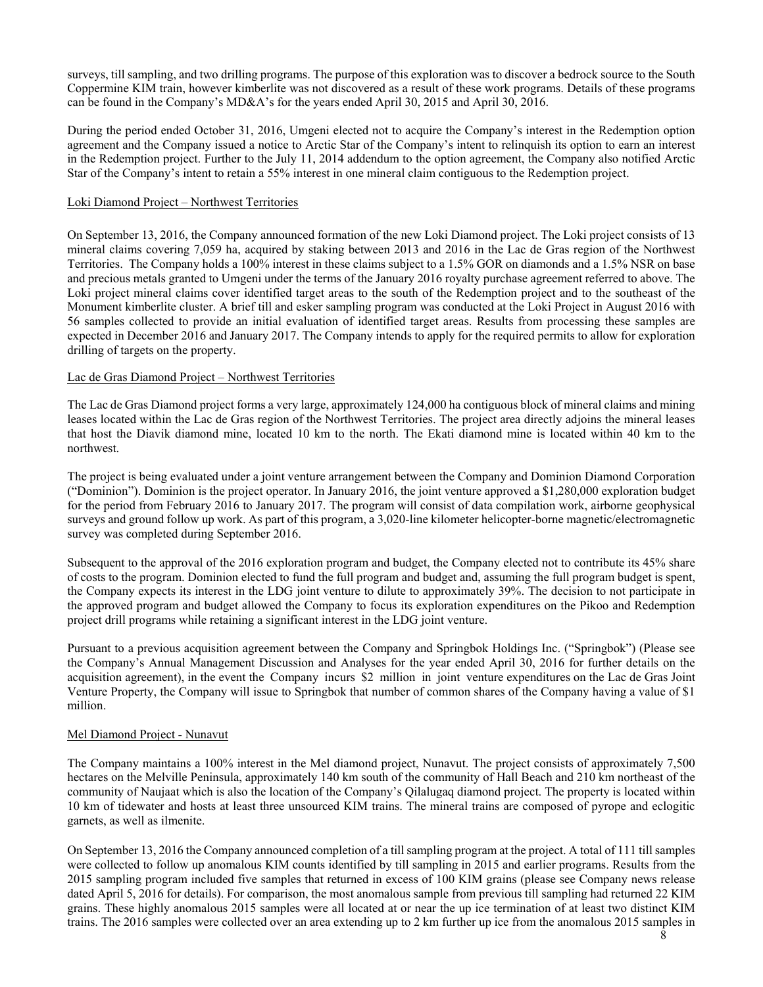surveys, till sampling, and two drilling programs. The purpose of this exploration was to discover a bedrock source to the South Coppermine KIM train, however kimberlite was not discovered as a result of these work programs. Details of these programs can be found in the Company's MD&A's for the years ended April 30, 2015 and April 30, 2016.

During the period ended October 31, 2016, Umgeni elected not to acquire the Company's interest in the Redemption option agreement and the Company issued a notice to Arctic Star of the Company's intent to relinquish its option to earn an interest in the Redemption project. Further to the July 11, 2014 addendum to the option agreement, the Company also notified Arctic Star of the Company's intent to retain a 55% interest in one mineral claim contiguous to the Redemption project.

#### Loki Diamond Project – Northwest Territories

On September 13, 2016, the Company announced formation of the new Loki Diamond project. The Loki project consists of 13 mineral claims covering 7,059 ha, acquired by staking between 2013 and 2016 in the Lac de Gras region of the Northwest Territories. The Company holds a 100% interest in these claims subject to a 1.5% GOR on diamonds and a 1.5% NSR on base and precious metals granted to Umgeni under the terms of the January 2016 royalty purchase agreement referred to above. The Loki project mineral claims cover identified target areas to the south of the Redemption project and to the southeast of the Monument kimberlite cluster. A brief till and esker sampling program was conducted at the Loki Project in August 2016 with 56 samples collected to provide an initial evaluation of identified target areas. Results from processing these samples are expected in December 2016 and January 2017. The Company intends to apply for the required permits to allow for exploration drilling of targets on the property.

#### Lac de Gras Diamond Project – Northwest Territories

The Lac de Gras Diamond project forms a very large, approximately 124,000 ha contiguous block of mineral claims and mining leases located within the Lac de Gras region of the Northwest Territories. The project area directly adjoins the mineral leases that host the Diavik diamond mine, located 10 km to the north. The Ekati diamond mine is located within 40 km to the northwest.

The project is being evaluated under a joint venture arrangement between the Company and Dominion Diamond Corporation ("Dominion"). Dominion is the project operator. In January 2016, the joint venture approved a \$1,280,000 exploration budget for the period from February 2016 to January 2017. The program will consist of data compilation work, airborne geophysical surveys and ground follow up work. As part of this program, a 3,020-line kilometer helicopter-borne magnetic/electromagnetic survey was completed during September 2016.

Subsequent to the approval of the 2016 exploration program and budget, the Company elected not to contribute its 45% share of costs to the program. Dominion elected to fund the full program and budget and, assuming the full program budget is spent, the Company expects its interest in the LDG joint venture to dilute to approximately 39%. The decision to not participate in the approved program and budget allowed the Company to focus its exploration expenditures on the Pikoo and Redemption project drill programs while retaining a significant interest in the LDG joint venture.

Pursuant to a previous acquisition agreement between the Company and Springbok Holdings Inc. ("Springbok") (Please see the Company's Annual Management Discussion and Analyses for the year ended April 30, 2016 for further details on the acquisition agreement), in the event the Company incurs \$2 million in joint venture expenditures on the Lac de Gras Joint Venture Property, the Company will issue to Springbok that number of common shares of the Company having a value of \$1 million.

## Mel Diamond Project - Nunavut

The Company maintains a 100% interest in the Mel diamond project, Nunavut. The project consists of approximately 7,500 hectares on the Melville Peninsula, approximately 140 km south of the community of Hall Beach and 210 km northeast of the community of Naujaat which is also the location of the Company's Qilalugaq diamond project. The property is located within 10 km of tidewater and hosts at least three unsourced KIM trains. The mineral trains are composed of pyrope and eclogitic garnets, as well as ilmenite.

On September 13, 2016 the Company announced completion of a till sampling program at the project. A total of 111 till samples were collected to follow up anomalous KIM counts identified by till sampling in 2015 and earlier programs. Results from the 2015 sampling program included five samples that returned in excess of 100 KIM grains (please see Company news release dated April 5, 2016 for details). For comparison, the most anomalous sample from previous till sampling had returned 22 KIM grains. These highly anomalous 2015 samples were all located at or near the up ice termination of at least two distinct KIM trains. The 2016 samples were collected over an area extending up to 2 km further up ice from the anomalous 2015 samples in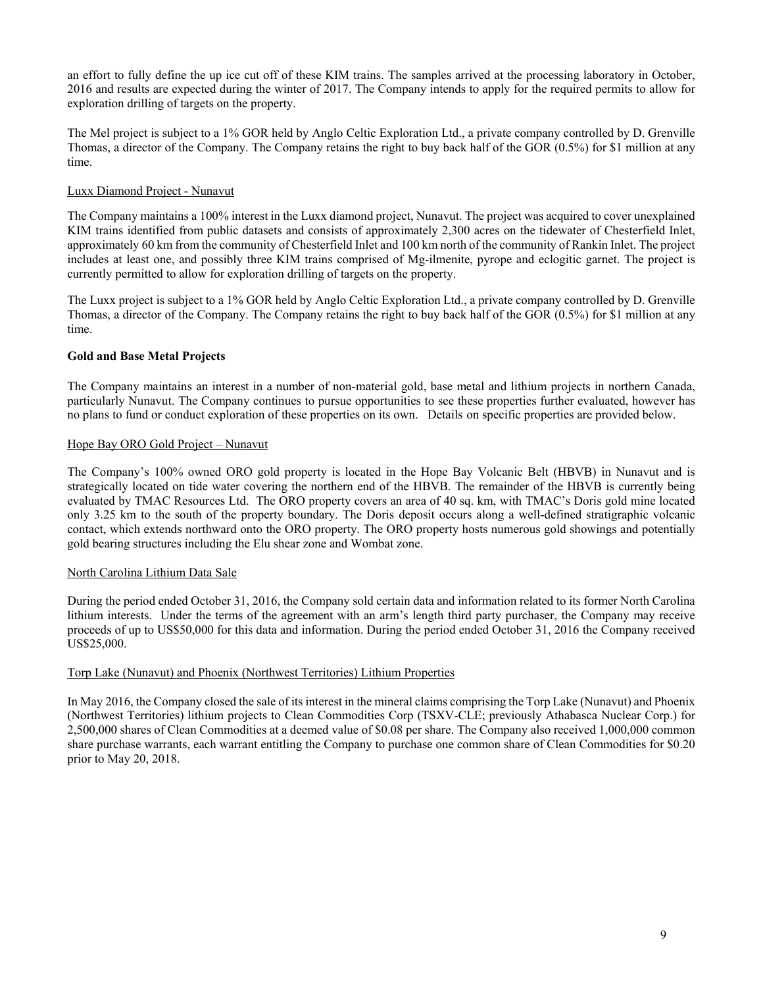an effort to fully define the up ice cut off of these KIM trains. The samples arrived at the processing laboratory in October, 2016 and results are expected during the winter of 2017. The Company intends to apply for the required permits to allow for exploration drilling of targets on the property.

The Mel project is subject to a 1% GOR held by Anglo Celtic Exploration Ltd., a private company controlled by D. Grenville Thomas, a director of the Company. The Company retains the right to buy back half of the GOR (0.5%) for \$1 million at any time.

# Luxx Diamond Project - Nunavut

The Company maintains a 100% interest in the Luxx diamond project, Nunavut. The project was acquired to cover unexplained KIM trains identified from public datasets and consists of approximately 2,300 acres on the tidewater of Chesterfield Inlet, approximately 60 km from the community of Chesterfield Inlet and 100 km north of the community of Rankin Inlet. The project includes at least one, and possibly three KIM trains comprised of Mg-ilmenite, pyrope and eclogitic garnet. The project is currently permitted to allow for exploration drilling of targets on the property.

The Luxx project is subject to a 1% GOR held by Anglo Celtic Exploration Ltd., a private company controlled by D. Grenville Thomas, a director of the Company. The Company retains the right to buy back half of the GOR (0.5%) for \$1 million at any time.

# **Gold and Base Metal Projects**

The Company maintains an interest in a number of non-material gold, base metal and lithium projects in northern Canada, particularly Nunavut. The Company continues to pursue opportunities to see these properties further evaluated, however has no plans to fund or conduct exploration of these properties on its own. Details on specific properties are provided below.

## Hope Bay ORO Gold Project – Nunavut

The Company's 100% owned ORO gold property is located in the Hope Bay Volcanic Belt (HBVB) in Nunavut and is strategically located on tide water covering the northern end of the HBVB. The remainder of the HBVB is currently being evaluated by TMAC Resources Ltd. The ORO property covers an area of 40 sq. km, with TMAC's Doris gold mine located only 3.25 km to the south of the property boundary. The Doris deposit occurs along a well-defined stratigraphic volcanic contact, which extends northward onto the ORO property. The ORO property hosts numerous gold showings and potentially gold bearing structures including the Elu shear zone and Wombat zone.

## North Carolina Lithium Data Sale

During the period ended October 31, 2016, the Company sold certain data and information related to its former North Carolina lithium interests. Under the terms of the agreement with an arm's length third party purchaser, the Company may receive proceeds of up to US\$50,000 for this data and information. During the period ended October 31, 2016 the Company received US\$25,000.

## Torp Lake (Nunavut) and Phoenix (Northwest Territories) Lithium Properties

In May 2016, the Company closed the sale of its interest in the mineral claims comprising the Torp Lake (Nunavut) and Phoenix (Northwest Territories) lithium projects to Clean Commodities Corp (TSXV-CLE; previously Athabasca Nuclear Corp.) for 2,500,000 shares of Clean Commodities at a deemed value of \$0.08 per share. The Company also received 1,000,000 common share purchase warrants, each warrant entitling the Company to purchase one common share of Clean Commodities for \$0.20 prior to May 20, 2018.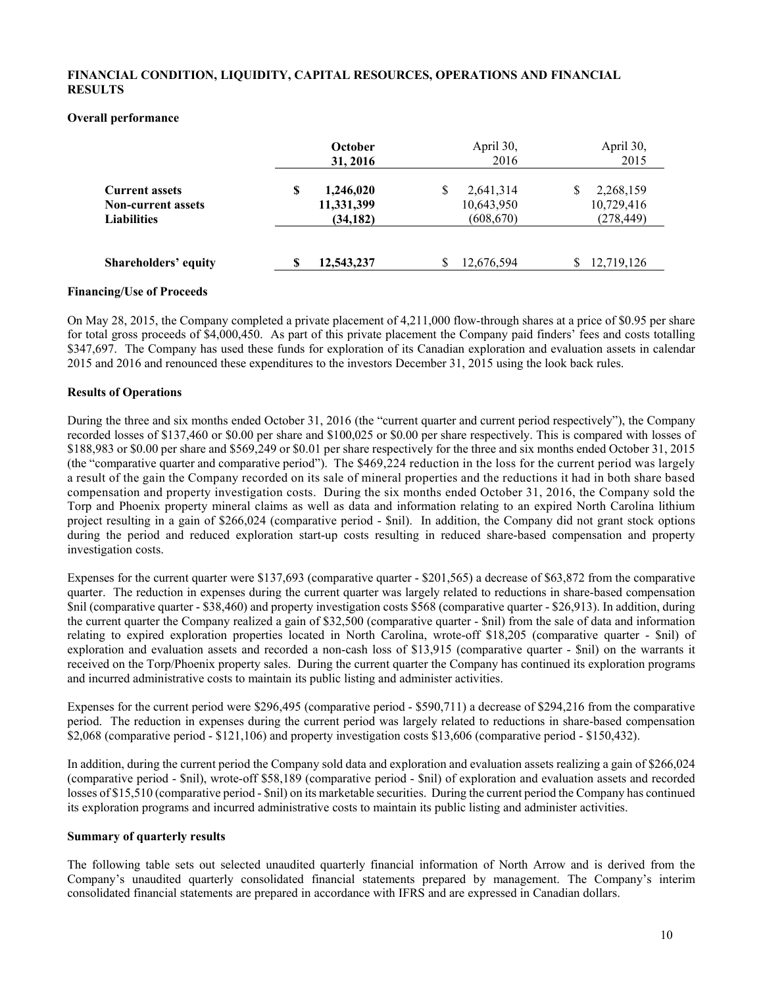## **FINANCIAL CONDITION, LIQUIDITY, CAPITAL RESOURCES, OPERATIONS AND FINANCIAL RESULTS**

#### **Overall performance**

|                                                                          | October<br>31, 2016                       | April 30,<br>2016                          | April 30,<br>2015                     |
|--------------------------------------------------------------------------|-------------------------------------------|--------------------------------------------|---------------------------------------|
| <b>Current assets</b><br><b>Non-current assets</b><br><b>Liabilities</b> | S<br>1,246,020<br>11,331,399<br>(34, 182) | 2,641,314<br>S<br>10,643,950<br>(608, 670) | 2,268,159<br>10,729,416<br>(278, 449) |
| <b>Shareholders' equity</b>                                              | 12,543,237                                | 12,676,594<br>S                            | 12,719,126                            |

#### **Financing/Use of Proceeds**

On May 28, 2015, the Company completed a private placement of 4,211,000 flow-through shares at a price of \$0.95 per share for total gross proceeds of \$4,000,450. As part of this private placement the Company paid finders' fees and costs totalling \$347,697. The Company has used these funds for exploration of its Canadian exploration and evaluation assets in calendar 2015 and 2016 and renounced these expenditures to the investors December 31, 2015 using the look back rules.

#### **Results of Operations**

During the three and six months ended October 31, 2016 (the "current quarter and current period respectively"), the Company recorded losses of \$137,460 or \$0.00 per share and \$100,025 or \$0.00 per share respectively. This is compared with losses of \$188,983 or \$0.00 per share and \$569,249 or \$0.01 per share respectively for the three and six months ended October 31, 2015 (the "comparative quarter and comparative period"). The \$469,224 reduction in the loss for the current period was largely a result of the gain the Company recorded on its sale of mineral properties and the reductions it had in both share based compensation and property investigation costs. During the six months ended October 31, 2016, the Company sold the Torp and Phoenix property mineral claims as well as data and information relating to an expired North Carolina lithium project resulting in a gain of \$266,024 (comparative period - \$nil). In addition, the Company did not grant stock options during the period and reduced exploration start-up costs resulting in reduced share-based compensation and property investigation costs.

Expenses for the current quarter were \$137,693 (comparative quarter - \$201,565) a decrease of \$63,872 from the comparative quarter. The reduction in expenses during the current quarter was largely related to reductions in share-based compensation \$nil (comparative quarter - \$38,460) and property investigation costs \$568 (comparative quarter - \$26,913). In addition, during the current quarter the Company realized a gain of \$32,500 (comparative quarter - \$nil) from the sale of data and information relating to expired exploration properties located in North Carolina, wrote-off \$18,205 (comparative quarter - \$nil) of exploration and evaluation assets and recorded a non-cash loss of \$13,915 (comparative quarter - \$nil) on the warrants it received on the Torp/Phoenix property sales. During the current quarter the Company has continued its exploration programs and incurred administrative costs to maintain its public listing and administer activities.

Expenses for the current period were \$296,495 (comparative period - \$590,711) a decrease of \$294,216 from the comparative period. The reduction in expenses during the current period was largely related to reductions in share-based compensation \$2,068 (comparative period - \$121,106) and property investigation costs \$13,606 (comparative period - \$150,432).

In addition, during the current period the Company sold data and exploration and evaluation assets realizing a gain of \$266,024 (comparative period - \$nil), wrote-off \$58,189 (comparative period - \$nil) of exploration and evaluation assets and recorded losses of \$15,510 (comparative period - \$nil) on its marketable securities. During the current period the Company has continued its exploration programs and incurred administrative costs to maintain its public listing and administer activities.

#### **Summary of quarterly results**

The following table sets out selected unaudited quarterly financial information of North Arrow and is derived from the Company's unaudited quarterly consolidated financial statements prepared by management. The Company's interim consolidated financial statements are prepared in accordance with IFRS and are expressed in Canadian dollars.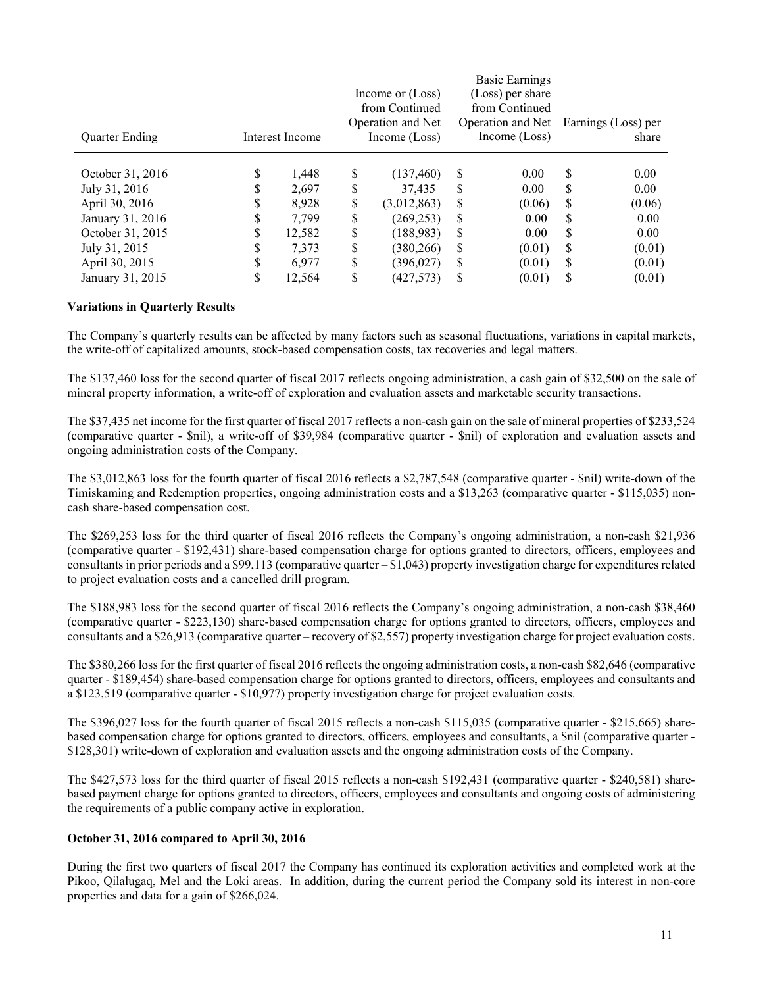| <b>Quarter Ending</b> |        | Interest Income |    | Income or (Loss)<br>from Continued<br>Operation and Net<br>Income (Loss) |    | Basic Earnings<br>(Loss) per share<br>from Continued<br>Operation and Net<br>Income (Loss) |    | Earnings (Loss) per<br>share |
|-----------------------|--------|-----------------|----|--------------------------------------------------------------------------|----|--------------------------------------------------------------------------------------------|----|------------------------------|
| October 31, 2016      | S      | 1,448           | \$ | (137, 460)                                                               | S  | 0.00                                                                                       | S  | 0.00                         |
| July 31, 2016         | Φ<br>J | 2,697           | \$ | 37.435                                                                   | S  | 0.00                                                                                       | \$ | 0.00                         |
| April 30, 2016        | S      | 8.928           | S  | (3,012,863)                                                              | \$ | (0.06)                                                                                     | S  | (0.06)                       |
| January 31, 2016      | \$     | 7,799           | \$ | (269, 253)                                                               | S  | 0.00                                                                                       | \$ | 0.00                         |
| October 31, 2015      | \$     | 12,582          | \$ | (188, 983)                                                               | S  | 0.00                                                                                       | \$ | 0.00                         |
| July 31, 2015         | \$     | 7,373           | \$ | (380, 266)                                                               | S  | (0.01)                                                                                     | \$ | (0.01)                       |
| April 30, 2015        | \$     | 6.977           | \$ | (396, 027)                                                               | \$ | (0.01)                                                                                     | \$ | (0.01)                       |
| January 31, 2015      | S      | 12,564          | \$ | (427, 573)                                                               | \$ | (0.01)                                                                                     | \$ | (0.01)                       |

## **Variations in Quarterly Results**

The Company's quarterly results can be affected by many factors such as seasonal fluctuations, variations in capital markets, the write-off of capitalized amounts, stock-based compensation costs, tax recoveries and legal matters.

The \$137,460 loss for the second quarter of fiscal 2017 reflects ongoing administration, a cash gain of \$32,500 on the sale of mineral property information, a write-off of exploration and evaluation assets and marketable security transactions.

The \$37,435 net income for the first quarter of fiscal 2017 reflects a non-cash gain on the sale of mineral properties of \$233,524 (comparative quarter - \$nil), a write-off of \$39,984 (comparative quarter - \$nil) of exploration and evaluation assets and ongoing administration costs of the Company.

The \$3,012,863 loss for the fourth quarter of fiscal 2016 reflects a \$2,787,548 (comparative quarter - \$nil) write-down of the Timiskaming and Redemption properties, ongoing administration costs and a \$13,263 (comparative quarter - \$115,035) noncash share-based compensation cost.

The \$269,253 loss for the third quarter of fiscal 2016 reflects the Company's ongoing administration, a non-cash \$21,936 (comparative quarter - \$192,431) share-based compensation charge for options granted to directors, officers, employees and consultants in prior periods and a \$99,113 (comparative quarter – \$1,043) property investigation charge for expenditures related to project evaluation costs and a cancelled drill program.

The \$188,983 loss for the second quarter of fiscal 2016 reflects the Company's ongoing administration, a non-cash \$38,460 (comparative quarter - \$223,130) share-based compensation charge for options granted to directors, officers, employees and consultants and a \$26,913 (comparative quarter – recovery of \$2,557) property investigation charge for project evaluation costs.

The \$380,266 loss for the first quarter of fiscal 2016 reflects the ongoing administration costs, a non-cash \$82,646 (comparative quarter - \$189,454) share-based compensation charge for options granted to directors, officers, employees and consultants and a \$123,519 (comparative quarter - \$10,977) property investigation charge for project evaluation costs.

The \$396,027 loss for the fourth quarter of fiscal 2015 reflects a non-cash \$115,035 (comparative quarter - \$215,665) sharebased compensation charge for options granted to directors, officers, employees and consultants, a \$nil (comparative quarter - \$128,301) write-down of exploration and evaluation assets and the ongoing administration costs of the Company.

The \$427,573 loss for the third quarter of fiscal 2015 reflects a non-cash \$192,431 (comparative quarter - \$240,581) sharebased payment charge for options granted to directors, officers, employees and consultants and ongoing costs of administering the requirements of a public company active in exploration.

#### **October 31, 2016 compared to April 30, 2016**

During the first two quarters of fiscal 2017 the Company has continued its exploration activities and completed work at the Pikoo, Qilalugaq, Mel and the Loki areas. In addition, during the current period the Company sold its interest in non-core properties and data for a gain of \$266,024.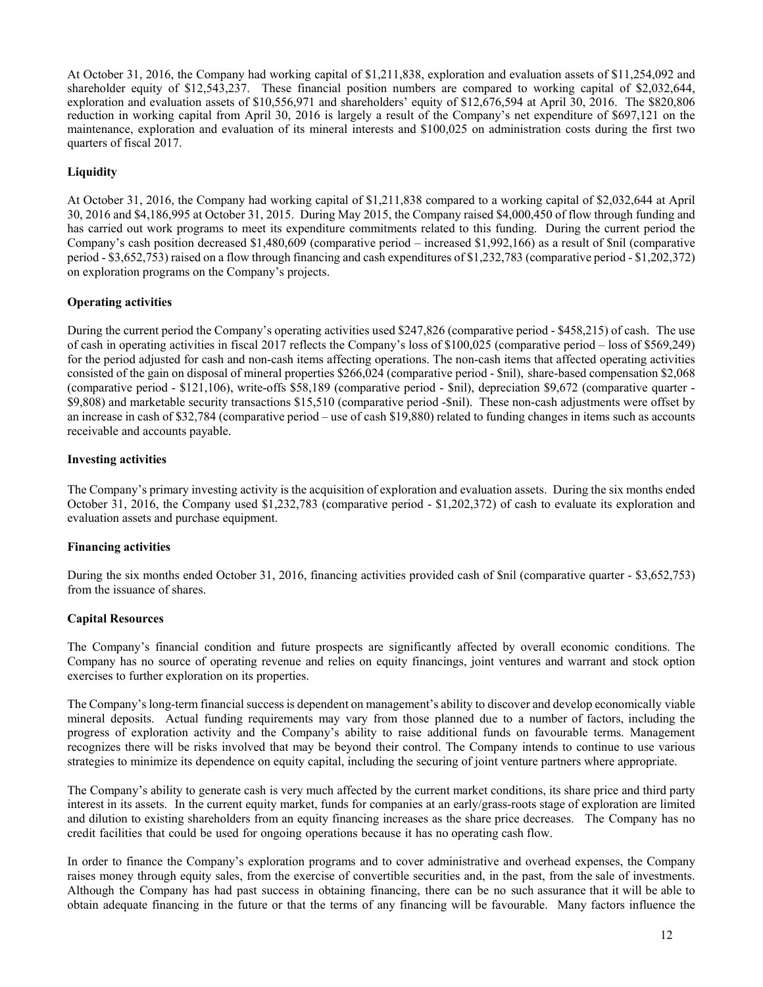At October 31, 2016, the Company had working capital of \$1,211,838, exploration and evaluation assets of \$11,254,092 and shareholder equity of \$12,543,237. These financial position numbers are compared to working capital of \$2,032,644, exploration and evaluation assets of \$10,556,971 and shareholders' equity of \$12,676,594 at April 30, 2016. The \$820,806 reduction in working capital from April 30, 2016 is largely a result of the Company's net expenditure of \$697,121 on the maintenance, exploration and evaluation of its mineral interests and \$100,025 on administration costs during the first two quarters of fiscal 2017.

# **Liquidity**

At October 31, 2016, the Company had working capital of \$1,211,838 compared to a working capital of \$2,032,644 at April 30, 2016 and \$4,186,995 at October 31, 2015. During May 2015, the Company raised \$4,000,450 of flow through funding and has carried out work programs to meet its expenditure commitments related to this funding. During the current period the Company's cash position decreased \$1,480,609 (comparative period – increased \$1,992,166) as a result of \$nil (comparative period - \$3,652,753) raised on a flow through financing and cash expenditures of \$1,232,783 (comparative period - \$1,202,372) on exploration programs on the Company's projects.

## **Operating activities**

During the current period the Company's operating activities used \$247,826 (comparative period - \$458,215) of cash. The use of cash in operating activities in fiscal 2017 reflects the Company's loss of \$100,025 (comparative period – loss of \$569,249) for the period adjusted for cash and non-cash items affecting operations. The non-cash items that affected operating activities consisted of the gain on disposal of mineral properties \$266,024 (comparative period - \$nil), share-based compensation \$2,068 (comparative period - \$121,106), write-offs \$58,189 (comparative period - \$nil), depreciation \$9,672 (comparative quarter - \$9,808) and marketable security transactions \$15,510 (comparative period -\$nil). These non-cash adjustments were offset by an increase in cash of \$32,784 (comparative period – use of cash \$19,880) related to funding changes in items such as accounts receivable and accounts payable.

## **Investing activities**

The Company's primary investing activity is the acquisition of exploration and evaluation assets. During the six months ended October 31, 2016, the Company used \$1,232,783 (comparative period - \$1,202,372) of cash to evaluate its exploration and evaluation assets and purchase equipment.

## **Financing activities**

During the six months ended October 31, 2016, financing activities provided cash of \$nil (comparative quarter - \$3,652,753) from the issuance of shares.

## **Capital Resources**

The Company's financial condition and future prospects are significantly affected by overall economic conditions. The Company has no source of operating revenue and relies on equity financings, joint ventures and warrant and stock option exercises to further exploration on its properties.

The Company's long-term financial success is dependent on management's ability to discover and develop economically viable mineral deposits. Actual funding requirements may vary from those planned due to a number of factors, including the progress of exploration activity and the Company's ability to raise additional funds on favourable terms. Management recognizes there will be risks involved that may be beyond their control. The Company intends to continue to use various strategies to minimize its dependence on equity capital, including the securing of joint venture partners where appropriate.

The Company's ability to generate cash is very much affected by the current market conditions, its share price and third party interest in its assets. In the current equity market, funds for companies at an early/grass-roots stage of exploration are limited and dilution to existing shareholders from an equity financing increases as the share price decreases. The Company has no credit facilities that could be used for ongoing operations because it has no operating cash flow.

In order to finance the Company's exploration programs and to cover administrative and overhead expenses, the Company raises money through equity sales, from the exercise of convertible securities and, in the past, from the sale of investments. Although the Company has had past success in obtaining financing, there can be no such assurance that it will be able to obtain adequate financing in the future or that the terms of any financing will be favourable. Many factors influence the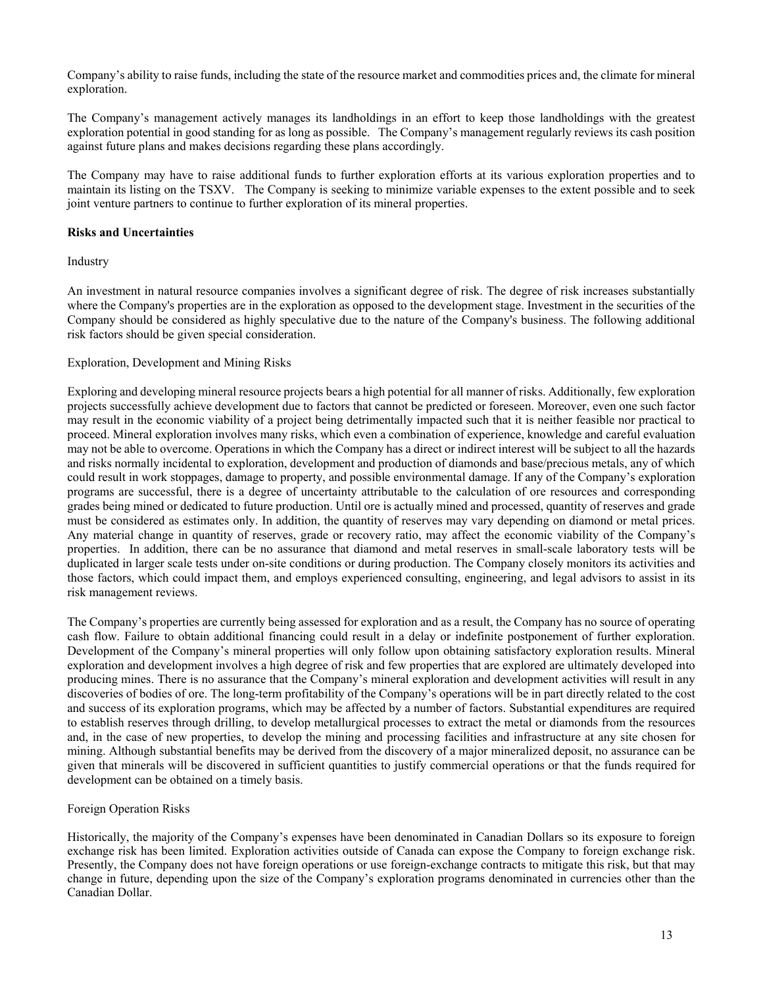Company's ability to raise funds, including the state of the resource market and commodities prices and, the climate for mineral exploration.

The Company's management actively manages its landholdings in an effort to keep those landholdings with the greatest exploration potential in good standing for as long as possible. The Company's management regularly reviews its cash position against future plans and makes decisions regarding these plans accordingly.

The Company may have to raise additional funds to further exploration efforts at its various exploration properties and to maintain its listing on the TSXV. The Company is seeking to minimize variable expenses to the extent possible and to seek joint venture partners to continue to further exploration of its mineral properties.

#### **Risks and Uncertainties**

Industry

An investment in natural resource companies involves a significant degree of risk. The degree of risk increases substantially where the Company's properties are in the exploration as opposed to the development stage. Investment in the securities of the Company should be considered as highly speculative due to the nature of the Company's business. The following additional risk factors should be given special consideration.

## Exploration, Development and Mining Risks

Exploring and developing mineral resource projects bears a high potential for all manner of risks. Additionally, few exploration projects successfully achieve development due to factors that cannot be predicted or foreseen. Moreover, even one such factor may result in the economic viability of a project being detrimentally impacted such that it is neither feasible nor practical to proceed. Mineral exploration involves many risks, which even a combination of experience, knowledge and careful evaluation may not be able to overcome. Operations in which the Company has a direct or indirect interest will be subject to all the hazards and risks normally incidental to exploration, development and production of diamonds and base/precious metals, any of which could result in work stoppages, damage to property, and possible environmental damage. If any of the Company's exploration programs are successful, there is a degree of uncertainty attributable to the calculation of ore resources and corresponding grades being mined or dedicated to future production. Until ore is actually mined and processed, quantity of reserves and grade must be considered as estimates only. In addition, the quantity of reserves may vary depending on diamond or metal prices. Any material change in quantity of reserves, grade or recovery ratio, may affect the economic viability of the Company's properties. In addition, there can be no assurance that diamond and metal reserves in small-scale laboratory tests will be duplicated in larger scale tests under on-site conditions or during production. The Company closely monitors its activities and those factors, which could impact them, and employs experienced consulting, engineering, and legal advisors to assist in its risk management reviews.

The Company's properties are currently being assessed for exploration and as a result, the Company has no source of operating cash flow. Failure to obtain additional financing could result in a delay or indefinite postponement of further exploration. Development of the Company's mineral properties will only follow upon obtaining satisfactory exploration results. Mineral exploration and development involves a high degree of risk and few properties that are explored are ultimately developed into producing mines. There is no assurance that the Company's mineral exploration and development activities will result in any discoveries of bodies of ore. The long-term profitability of the Company's operations will be in part directly related to the cost and success of its exploration programs, which may be affected by a number of factors. Substantial expenditures are required to establish reserves through drilling, to develop metallurgical processes to extract the metal or diamonds from the resources and, in the case of new properties, to develop the mining and processing facilities and infrastructure at any site chosen for mining. Although substantial benefits may be derived from the discovery of a major mineralized deposit, no assurance can be given that minerals will be discovered in sufficient quantities to justify commercial operations or that the funds required for development can be obtained on a timely basis.

## Foreign Operation Risks

Historically, the majority of the Company's expenses have been denominated in Canadian Dollars so its exposure to foreign exchange risk has been limited. Exploration activities outside of Canada can expose the Company to foreign exchange risk. Presently, the Company does not have foreign operations or use foreign-exchange contracts to mitigate this risk, but that may change in future, depending upon the size of the Company's exploration programs denominated in currencies other than the Canadian Dollar.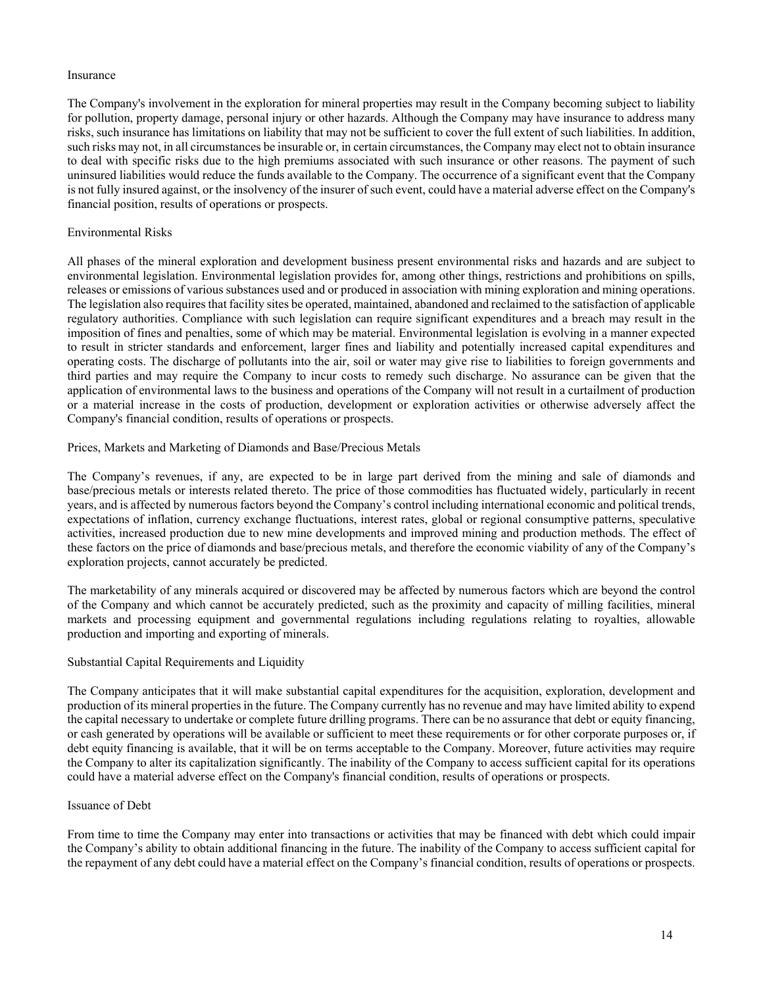#### Insurance

The Company's involvement in the exploration for mineral properties may result in the Company becoming subject to liability for pollution, property damage, personal injury or other hazards. Although the Company may have insurance to address many risks, such insurance has limitations on liability that may not be sufficient to cover the full extent of such liabilities. In addition, such risks may not, in all circumstances be insurable or, in certain circumstances, the Company may elect not to obtain insurance to deal with specific risks due to the high premiums associated with such insurance or other reasons. The payment of such uninsured liabilities would reduce the funds available to the Company. The occurrence of a significant event that the Company is not fully insured against, or the insolvency of the insurer of such event, could have a material adverse effect on the Company's financial position, results of operations or prospects.

## Environmental Risks

All phases of the mineral exploration and development business present environmental risks and hazards and are subject to environmental legislation. Environmental legislation provides for, among other things, restrictions and prohibitions on spills, releases or emissions of various substances used and or produced in association with mining exploration and mining operations. The legislation also requires that facility sites be operated, maintained, abandoned and reclaimed to the satisfaction of applicable regulatory authorities. Compliance with such legislation can require significant expenditures and a breach may result in the imposition of fines and penalties, some of which may be material. Environmental legislation is evolving in a manner expected to result in stricter standards and enforcement, larger fines and liability and potentially increased capital expenditures and operating costs. The discharge of pollutants into the air, soil or water may give rise to liabilities to foreign governments and third parties and may require the Company to incur costs to remedy such discharge. No assurance can be given that the application of environmental laws to the business and operations of the Company will not result in a curtailment of production or a material increase in the costs of production, development or exploration activities or otherwise adversely affect the Company's financial condition, results of operations or prospects.

# Prices, Markets and Marketing of Diamonds and Base/Precious Metals

The Company's revenues, if any, are expected to be in large part derived from the mining and sale of diamonds and base/precious metals or interests related thereto. The price of those commodities has fluctuated widely, particularly in recent years, and is affected by numerous factors beyond the Company's control including international economic and political trends, expectations of inflation, currency exchange fluctuations, interest rates, global or regional consumptive patterns, speculative activities, increased production due to new mine developments and improved mining and production methods. The effect of these factors on the price of diamonds and base/precious metals, and therefore the economic viability of any of the Company's exploration projects, cannot accurately be predicted.

The marketability of any minerals acquired or discovered may be affected by numerous factors which are beyond the control of the Company and which cannot be accurately predicted, such as the proximity and capacity of milling facilities, mineral markets and processing equipment and governmental regulations including regulations relating to royalties, allowable production and importing and exporting of minerals.

## Substantial Capital Requirements and Liquidity

The Company anticipates that it will make substantial capital expenditures for the acquisition, exploration, development and production of its mineral properties in the future. The Company currently has no revenue and may have limited ability to expend the capital necessary to undertake or complete future drilling programs. There can be no assurance that debt or equity financing, or cash generated by operations will be available or sufficient to meet these requirements or for other corporate purposes or, if debt equity financing is available, that it will be on terms acceptable to the Company. Moreover, future activities may require the Company to alter its capitalization significantly. The inability of the Company to access sufficient capital for its operations could have a material adverse effect on the Company's financial condition, results of operations or prospects.

## Issuance of Debt

From time to time the Company may enter into transactions or activities that may be financed with debt which could impair the Company's ability to obtain additional financing in the future. The inability of the Company to access sufficient capital for the repayment of any debt could have a material effect on the Company's financial condition, results of operations or prospects.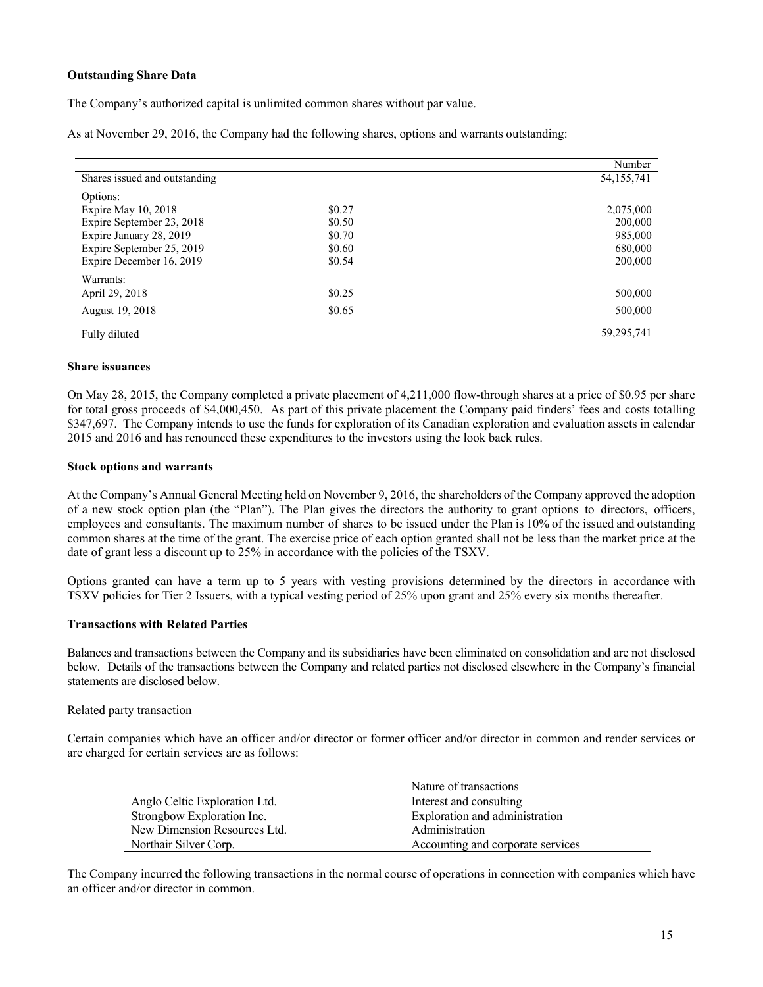## **Outstanding Share Data**

The Company's authorized capital is unlimited common shares without par value.

As at November 29, 2016, the Company had the following shares, options and warrants outstanding:

|                               |        | Number       |
|-------------------------------|--------|--------------|
| Shares issued and outstanding |        | 54, 155, 741 |
| Options:                      |        |              |
| Expire May $10, 2018$         | \$0.27 | 2,075,000    |
| Expire September 23, 2018     | \$0.50 | 200,000      |
| Expire January 28, 2019       | \$0.70 | 985,000      |
| Expire September 25, 2019     | \$0.60 | 680,000      |
| Expire December 16, 2019      | \$0.54 | 200,000      |
| Warrants:                     |        |              |
| April 29, 2018                | \$0.25 | 500,000      |
| August 19, 2018               | \$0.65 | 500,000      |
| Fully diluted                 |        | 59,295,741   |

#### **Share issuances**

On May 28, 2015, the Company completed a private placement of 4,211,000 flow-through shares at a price of \$0.95 per share for total gross proceeds of \$4,000,450. As part of this private placement the Company paid finders' fees and costs totalling \$347,697. The Company intends to use the funds for exploration of its Canadian exploration and evaluation assets in calendar 2015 and 2016 and has renounced these expenditures to the investors using the look back rules.

#### **Stock options and warrants**

At the Company's Annual General Meeting held on November 9, 2016, the shareholders of the Company approved the adoption of a new stock option plan (the "Plan"). The Plan gives the directors the authority to grant options to directors, officers, employees and consultants. The maximum number of shares to be issued under the Plan is 10% of the issued and outstanding common shares at the time of the grant. The exercise price of each option granted shall not be less than the market price at the date of grant less a discount up to 25% in accordance with the policies of the TSXV.

Options granted can have a term up to 5 years with vesting provisions determined by the directors in accordance with TSXV policies for Tier 2 Issuers, with a typical vesting period of 25% upon grant and 25% every six months thereafter.

## **Transactions with Related Parties**

Balances and transactions between the Company and its subsidiaries have been eliminated on consolidation and are not disclosed below. Details of the transactions between the Company and related parties not disclosed elsewhere in the Company's financial statements are disclosed below.

## Related party transaction

Certain companies which have an officer and/or director or former officer and/or director in common and render services or are charged for certain services are as follows:

|                               | Nature of transactions            |
|-------------------------------|-----------------------------------|
| Anglo Celtic Exploration Ltd. | Interest and consulting           |
| Strongbow Exploration Inc.    | Exploration and administration    |
| New Dimension Resources Ltd.  | Administration                    |
| Northair Silver Corp.         | Accounting and corporate services |

The Company incurred the following transactions in the normal course of operations in connection with companies which have an officer and/or director in common.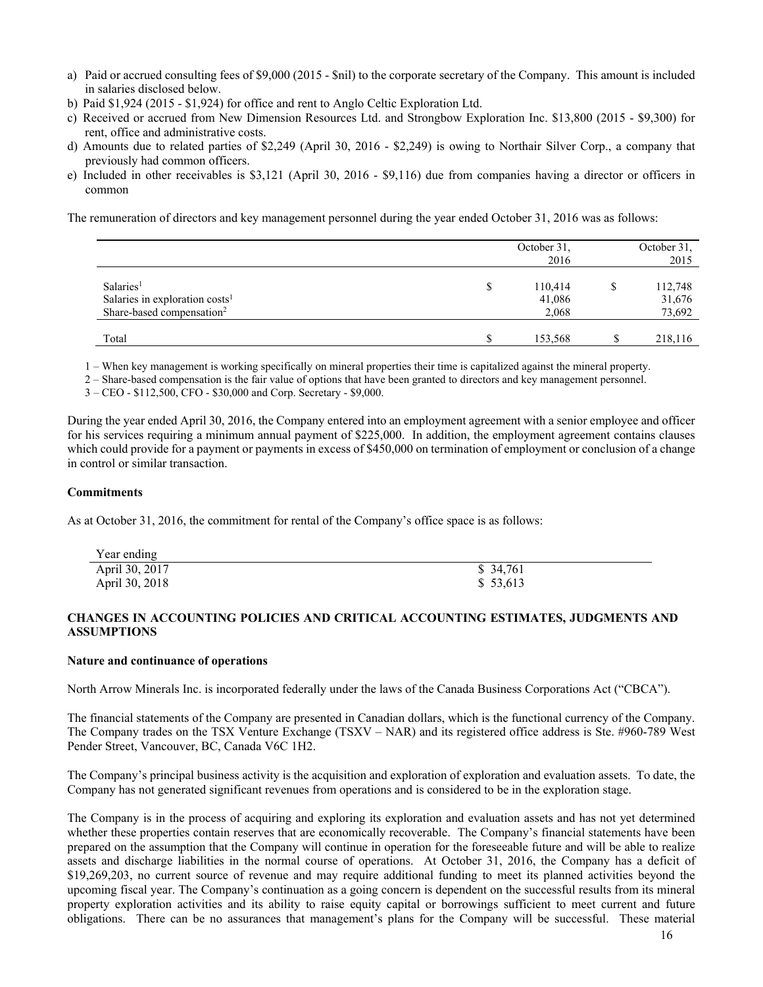- a) Paid or accrued consulting fees of \$9,000 (2015 \$nil) to the corporate secretary of the Company. This amount is included in salaries disclosed below.
- b) Paid \$1,924 (2015 \$1,924) for office and rent to Anglo Celtic Exploration Ltd.
- c) Received or accrued from New Dimension Resources Ltd. and Strongbow Exploration Inc. \$13,800 (2015 \$9,300) for rent, office and administrative costs.
- d) Amounts due to related parties of \$2,249 (April 30, 2016 \$2,249) is owing to Northair Silver Corp., a company that previously had common officers.
- e) Included in other receivables is \$3,121 (April 30, 2016 \$9,116) due from companies having a director or officers in common

The remuneration of directors and key management personnel during the year ended October 31, 2016 was as follows:

|                                            | October 31,<br>2016 | October 31,<br>2015 |
|--------------------------------------------|---------------------|---------------------|
| Salaries <sup>1</sup>                      | 110,414             | 112,748             |
| Salaries in exploration costs <sup>1</sup> | 41,086              | 31,676              |
| Share-based compensation <sup>2</sup>      | 2,068               | 73,692              |
| Total                                      | 153,568             | 218,116             |

1 – When key management is working specifically on mineral properties their time is capitalized against the mineral property.

2 – Share-based compensation is the fair value of options that have been granted to directors and key management personnel.

3 – CEO - \$112,500, CFO - \$30,000 and Corp. Secretary - \$9,000.

During the year ended April 30, 2016, the Company entered into an employment agreement with a senior employee and officer for his services requiring a minimum annual payment of \$225,000. In addition, the employment agreement contains clauses which could provide for a payment or payments in excess of \$450,000 on termination of employment or conclusion of a change in control or similar transaction.

#### **Commitments**

As at October 31, 2016, the commitment for rental of the Company's office space is as follows:

| Year ending    |           |
|----------------|-----------|
| April 30, 2017 | \$ 34,761 |
| April 30, 2018 | \$53,613  |

## **CHANGES IN ACCOUNTING POLICIES AND CRITICAL ACCOUNTING ESTIMATES, JUDGMENTS AND ASSUMPTIONS**

#### **Nature and continuance of operations**

North Arrow Minerals Inc. is incorporated federally under the laws of the Canada Business Corporations Act ("CBCA").

The financial statements of the Company are presented in Canadian dollars, which is the functional currency of the Company. The Company trades on the TSX Venture Exchange (TSXV – NAR) and its registered office address is Ste. #960-789 West Pender Street, Vancouver, BC, Canada V6C 1H2.

The Company's principal business activity is the acquisition and exploration of exploration and evaluation assets. To date, the Company has not generated significant revenues from operations and is considered to be in the exploration stage.

The Company is in the process of acquiring and exploring its exploration and evaluation assets and has not yet determined whether these properties contain reserves that are economically recoverable. The Company's financial statements have been prepared on the assumption that the Company will continue in operation for the foreseeable future and will be able to realize assets and discharge liabilities in the normal course of operations. At October 31, 2016, the Company has a deficit of \$19,269,203, no current source of revenue and may require additional funding to meet its planned activities beyond the upcoming fiscal year. The Company's continuation as a going concern is dependent on the successful results from its mineral property exploration activities and its ability to raise equity capital or borrowings sufficient to meet current and future obligations. There can be no assurances that management's plans for the Company will be successful. These material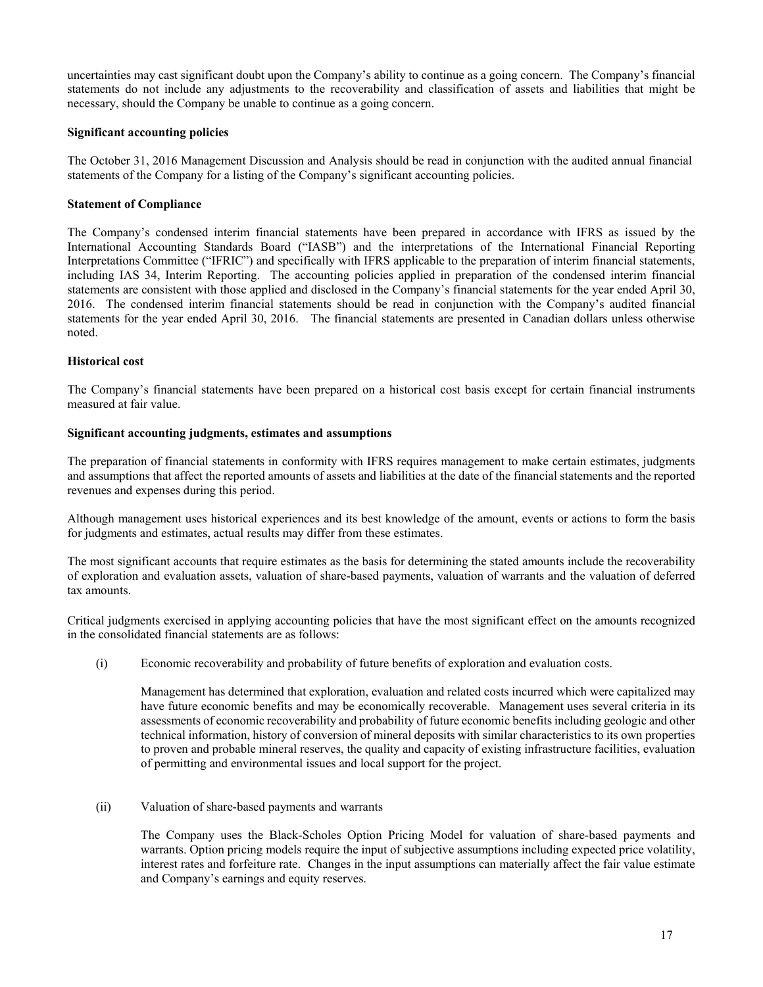uncertainties may cast significant doubt upon the Company's ability to continue as a going concern. The Company's financial statements do not include any adjustments to the recoverability and classification of assets and liabilities that might be necessary, should the Company be unable to continue as a going concern.

#### **Significant accounting policies**

The October 31, 2016 Management Discussion and Analysis should be read in conjunction with the audited annual financial statements of the Company for a listing of the Company's significant accounting policies.

#### **Statement of Compliance**

The Company's condensed interim financial statements have been prepared in accordance with IFRS as issued by the International Accounting Standards Board ("IASB") and the interpretations of the International Financial Reporting Interpretations Committee ("IFRIC") and specifically with IFRS applicable to the preparation of interim financial statements, including IAS 34, Interim Reporting. The accounting policies applied in preparation of the condensed interim financial statements are consistent with those applied and disclosed in the Company's financial statements for the year ended April 30, 2016. The condensed interim financial statements should be read in conjunction with the Company's audited financial statements for the year ended April 30, 2016. The financial statements are presented in Canadian dollars unless otherwise noted.

#### **Historical cost**

The Company's financial statements have been prepared on a historical cost basis except for certain financial instruments measured at fair value.

#### **Significant accounting judgments, estimates and assumptions**

The preparation of financial statements in conformity with IFRS requires management to make certain estimates, judgments and assumptions that affect the reported amounts of assets and liabilities at the date of the financial statements and the reported revenues and expenses during this period.

Although management uses historical experiences and its best knowledge of the amount, events or actions to form the basis for judgments and estimates, actual results may differ from these estimates.

The most significant accounts that require estimates as the basis for determining the stated amounts include the recoverability of exploration and evaluation assets, valuation of share-based payments, valuation of warrants and the valuation of deferred tax amounts.

Critical judgments exercised in applying accounting policies that have the most significant effect on the amounts recognized in the consolidated financial statements are as follows:

(i) Economic recoverability and probability of future benefits of exploration and evaluation costs.

Management has determined that exploration, evaluation and related costs incurred which were capitalized may have future economic benefits and may be economically recoverable. Management uses several criteria in its assessments of economic recoverability and probability of future economic benefits including geologic and other technical information, history of conversion of mineral deposits with similar characteristics to its own properties to proven and probable mineral reserves, the quality and capacity of existing infrastructure facilities, evaluation of permitting and environmental issues and local support for the project.

(ii) Valuation of share-based payments and warrants

The Company uses the Black-Scholes Option Pricing Model for valuation of share-based payments and warrants. Option pricing models require the input of subjective assumptions including expected price volatility, interest rates and forfeiture rate. Changes in the input assumptions can materially affect the fair value estimate and Company's earnings and equity reserves.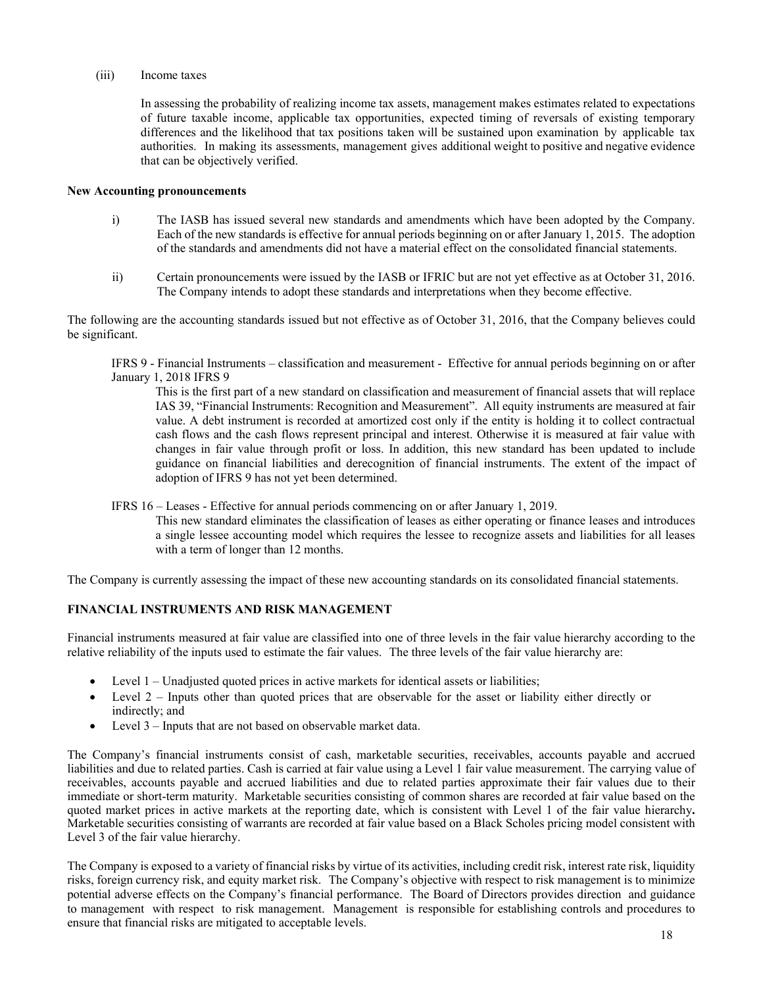#### (iii) Income taxes

In assessing the probability of realizing income tax assets, management makes estimates related to expectations of future taxable income, applicable tax opportunities, expected timing of reversals of existing temporary differences and the likelihood that tax positions taken will be sustained upon examination by applicable tax authorities. In making its assessments, management gives additional weight to positive and negative evidence that can be objectively verified.

#### **New Accounting pronouncements**

- i) The IASB has issued several new standards and amendments which have been adopted by the Company. Each of the new standards is effective for annual periods beginning on or after January 1, 2015. The adoption of the standards and amendments did not have a material effect on the consolidated financial statements.
- ii) Certain pronouncements were issued by the IASB or IFRIC but are not yet effective as at October 31, 2016. The Company intends to adopt these standards and interpretations when they become effective.

The following are the accounting standards issued but not effective as of October 31, 2016, that the Company believes could be significant.

IFRS 9 - Financial Instruments – classification and measurement - Effective for annual periods beginning on or after January 1, 2018 IFRS 9

This is the first part of a new standard on classification and measurement of financial assets that will replace IAS 39, "Financial Instruments: Recognition and Measurement". All equity instruments are measured at fair value. A debt instrument is recorded at amortized cost only if the entity is holding it to collect contractual cash flows and the cash flows represent principal and interest. Otherwise it is measured at fair value with changes in fair value through profit or loss. In addition, this new standard has been updated to include guidance on financial liabilities and derecognition of financial instruments. The extent of the impact of adoption of IFRS 9 has not yet been determined.

IFRS 16 – Leases - Effective for annual periods commencing on or after January 1, 2019.

This new standard eliminates the classification of leases as either operating or finance leases and introduces a single lessee accounting model which requires the lessee to recognize assets and liabilities for all leases with a term of longer than 12 months.

The Company is currently assessing the impact of these new accounting standards on its consolidated financial statements.

## **FINANCIAL INSTRUMENTS AND RISK MANAGEMENT**

Financial instruments measured at fair value are classified into one of three levels in the fair value hierarchy according to the relative reliability of the inputs used to estimate the fair values. The three levels of the fair value hierarchy are:

- Level 1 Unadjusted quoted prices in active markets for identical assets or liabilities;
- Level 2 Inputs other than quoted prices that are observable for the asset or liability either directly or indirectly; and
- Level 3 Inputs that are not based on observable market data.

The Company's financial instruments consist of cash, marketable securities, receivables, accounts payable and accrued liabilities and due to related parties. Cash is carried at fair value using a Level 1 fair value measurement. The carrying value of receivables, accounts payable and accrued liabilities and due to related parties approximate their fair values due to their immediate or short-term maturity. Marketable securities consisting of common shares are recorded at fair value based on the quoted market prices in active markets at the reporting date, which is consistent with Level 1 of the fair value hierarchy**.**  Marketable securities consisting of warrants are recorded at fair value based on a Black Scholes pricing model consistent with Level 3 of the fair value hierarchy.

The Company is exposed to a variety of financial risks by virtue of its activities, including credit risk, interest rate risk, liquidity risks, foreign currency risk, and equity market risk. The Company's objective with respect to risk management is to minimize potential adverse effects on the Company's financial performance. The Board of Directors provides direction and guidance to management with respect to risk management. Management is responsible for establishing controls and procedures to ensure that financial risks are mitigated to acceptable levels.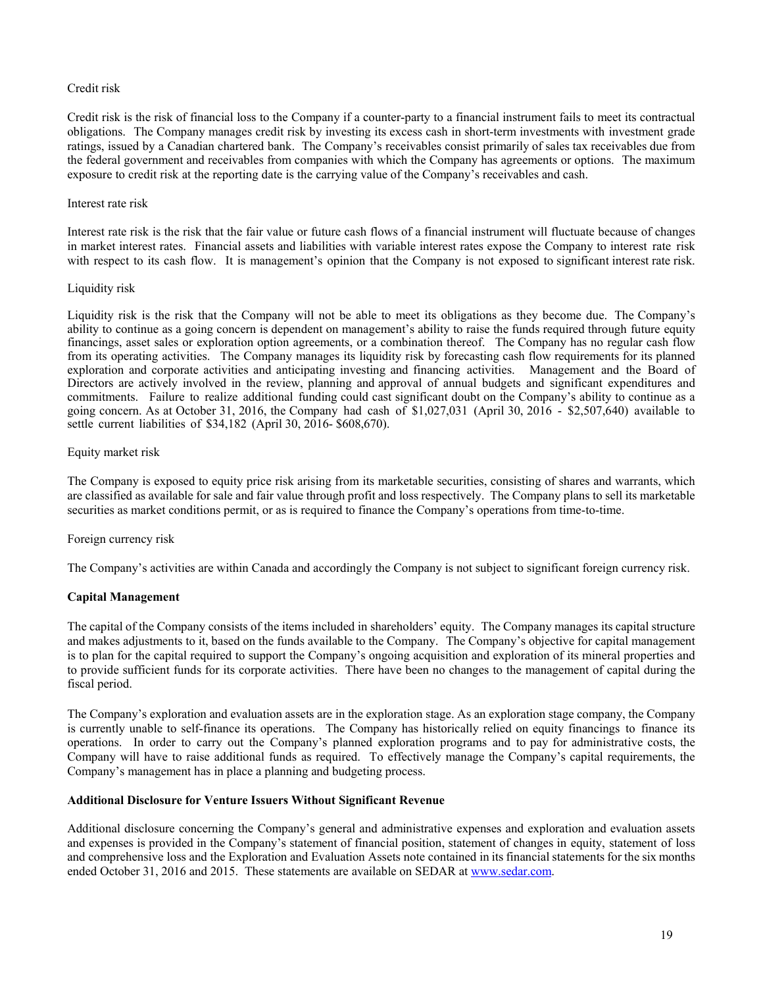#### Credit risk

Credit risk is the risk of financial loss to the Company if a counter-party to a financial instrument fails to meet its contractual obligations. The Company manages credit risk by investing its excess cash in short-term investments with investment grade ratings, issued by a Canadian chartered bank. The Company's receivables consist primarily of sales tax receivables due from the federal government and receivables from companies with which the Company has agreements or options. The maximum exposure to credit risk at the reporting date is the carrying value of the Company's receivables and cash.

#### Interest rate risk

Interest rate risk is the risk that the fair value or future cash flows of a financial instrument will fluctuate because of changes in market interest rates. Financial assets and liabilities with variable interest rates expose the Company to interest rate risk with respect to its cash flow. It is management's opinion that the Company is not exposed to significant interest rate risk.

#### Liquidity risk

Liquidity risk is the risk that the Company will not be able to meet its obligations as they become due. The Company's ability to continue as a going concern is dependent on management's ability to raise the funds required through future equity financings, asset sales or exploration option agreements, or a combination thereof. The Company has no regular cash flow from its operating activities. The Company manages its liquidity risk by forecasting cash flow requirements for its planned exploration and corporate activities and anticipating investing and financing activities. Management and the Board of Directors are actively involved in the review, planning and approval of annual budgets and significant expenditures and commitments. Failure to realize additional funding could cast significant doubt on the Company's ability to continue as a going concern. As at October 31, 2016, the Company had cash of \$1,027,031 (April 30, 2016 - \$2,507,640) available to settle current liabilities of \$34,182 (April 30, 2016- \$608,670).

#### Equity market risk

The Company is exposed to equity price risk arising from its marketable securities, consisting of shares and warrants, which are classified as available for sale and fair value through profit and loss respectively. The Company plans to sell its marketable securities as market conditions permit, or as is required to finance the Company's operations from time-to-time.

## Foreign currency risk

The Company's activities are within Canada and accordingly the Company is not subject to significant foreign currency risk.

## **Capital Management**

The capital of the Company consists of the items included in shareholders' equity. The Company manages its capital structure and makes adjustments to it, based on the funds available to the Company. The Company's objective for capital management is to plan for the capital required to support the Company's ongoing acquisition and exploration of its mineral properties and to provide sufficient funds for its corporate activities. There have been no changes to the management of capital during the fiscal period.

The Company's exploration and evaluation assets are in the exploration stage. As an exploration stage company, the Company is currently unable to self-finance its operations. The Company has historically relied on equity financings to finance its operations. In order to carry out the Company's planned exploration programs and to pay for administrative costs, the Company will have to raise additional funds as required. To effectively manage the Company's capital requirements, the Company's management has in place a planning and budgeting process.

## **Additional Disclosure for Venture Issuers Without Significant Revenue**

Additional disclosure concerning the Company's general and administrative expenses and exploration and evaluation assets and expenses is provided in the Company's statement of financial position, statement of changes in equity, statement of loss and comprehensive loss and the Exploration and Evaluation Assets note contained in its financial statements for the six months ended October 31, 2016 and 2015. These statements are available on SEDAR at www.sedar.com.